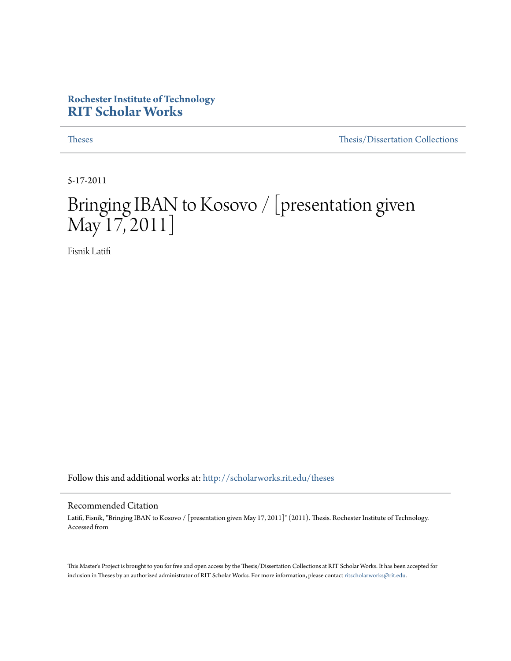#### **Rochester Institute of Technology [RIT Scholar Works](http://scholarworks.rit.edu?utm_source=scholarworks.rit.edu%2Ftheses%2F4882&utm_medium=PDF&utm_campaign=PDFCoverPages)**

[Theses](http://scholarworks.rit.edu/theses?utm_source=scholarworks.rit.edu%2Ftheses%2F4882&utm_medium=PDF&utm_campaign=PDFCoverPages) [Thesis/Dissertation Collections](http://scholarworks.rit.edu/etd_collections?utm_source=scholarworks.rit.edu%2Ftheses%2F4882&utm_medium=PDF&utm_campaign=PDFCoverPages)

5-17-2011

# Bringing IBAN to Kosovo / [presentation given May 17, 2011]

Fisnik Latifi

Follow this and additional works at: [http://scholarworks.rit.edu/theses](http://scholarworks.rit.edu/theses?utm_source=scholarworks.rit.edu%2Ftheses%2F4882&utm_medium=PDF&utm_campaign=PDFCoverPages)

#### Recommended Citation

Latifi, Fisnik, "Bringing IBAN to Kosovo / [presentation given May 17, 2011]" (2011). Thesis. Rochester Institute of Technology. Accessed from

This Master's Project is brought to you for free and open access by the Thesis/Dissertation Collections at RIT Scholar Works. It has been accepted for inclusion in Theses by an authorized administrator of RIT Scholar Works. For more information, please contact [ritscholarworks@rit.edu](mailto:ritscholarworks@rit.edu).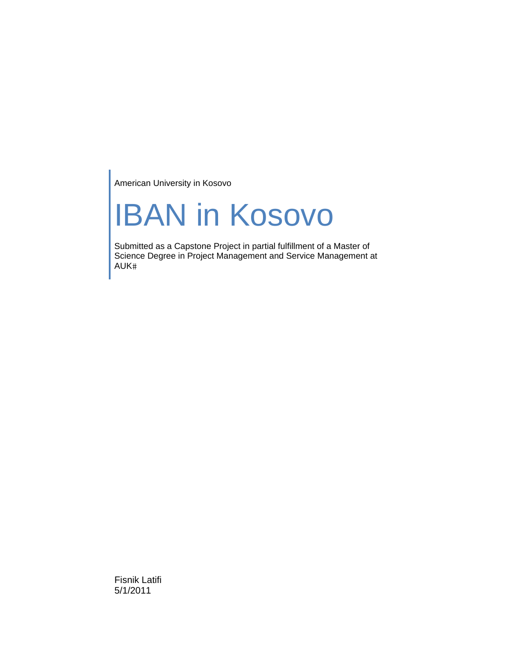American University in Kosovo

# IBAN in Kosovo

Submitted as a Capstone Project in partial fulfillment of a Master of Science Degree in Project Management and Service Management at AUK

Fisnik Latifi 5/1/2011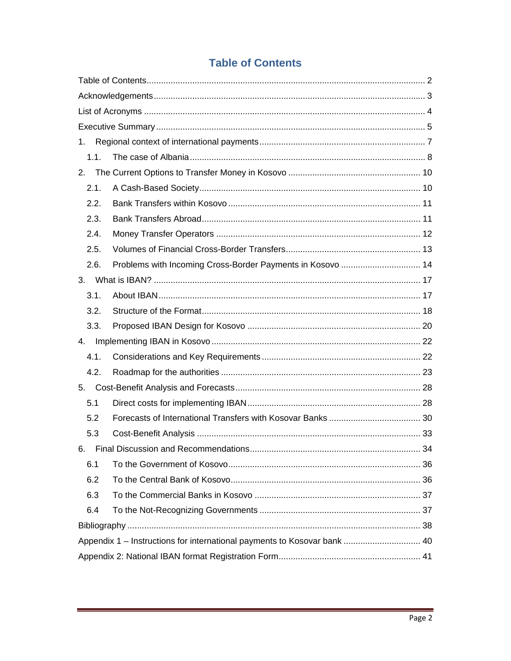### **Table of Contents**

| 1.   |                                                                          |    |
|------|--------------------------------------------------------------------------|----|
| 1.1. |                                                                          |    |
| 2.   |                                                                          |    |
| 2.1. |                                                                          |    |
| 2.2. |                                                                          |    |
| 2.3. |                                                                          |    |
| 2.4. |                                                                          |    |
| 2.5. |                                                                          |    |
| 2.6. | Problems with Incoming Cross-Border Payments in Kosovo  14               |    |
| 3.   |                                                                          |    |
| 3.1. |                                                                          |    |
| 3.2. |                                                                          |    |
| 3.3. |                                                                          |    |
| 4.   |                                                                          |    |
| 4.1. |                                                                          |    |
| 4.2. |                                                                          |    |
| 5.   |                                                                          |    |
| 5.1  |                                                                          |    |
| 5.2  |                                                                          |    |
| 5.3  |                                                                          |    |
|      | 6. Final Discussion and Recommendations.                                 | 34 |
| 6.1  |                                                                          |    |
| 6.2  |                                                                          |    |
| 6.3  |                                                                          |    |
| 6.4  |                                                                          |    |
|      |                                                                          |    |
|      | Appendix 1 - Instructions for international payments to Kosovar bank  40 |    |
|      |                                                                          |    |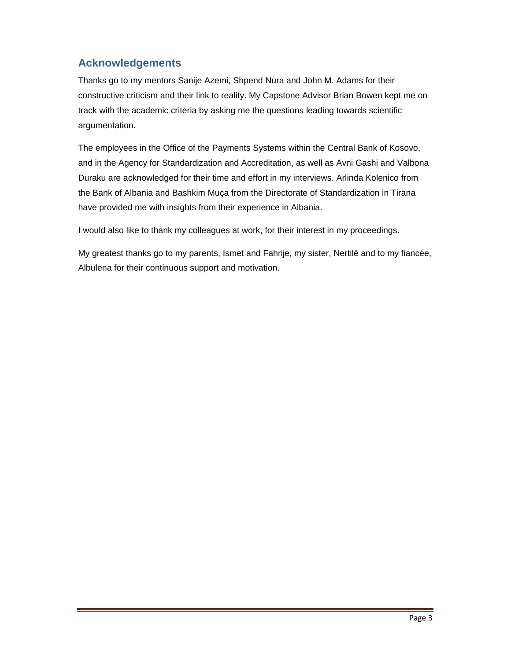#### **Acknowledgements**

Thanks go to my mentors Sanije Azemi, Shpend Nura and John M. Adams for their constructive criticism and their link to reality. My Capstone Advisor Brian Bowen kept me on track with the academic criteria by asking me the questions leading towards scientific argumentation.

The employees in the Office of the Payments Systems within the Central Bank of Kosovo, and in the Agency for Standardization and Accreditation, as well as Avni Gashi and Valbona Duraku are acknowledged for their time and effort in my interviews. Arlinda Kolenico from the Bank of Albania and Bashkim Muça from the Directorate of Standardization in Tirana have provided me with insights from their experience in Albania.

I would also like to thank my colleagues at work, for their interest in my proceedings.

My greatest thanks go to my parents, Ismet and Fahrije, my sister, Nertilë and to my fiancée, Albulena for their continuous support and motivation.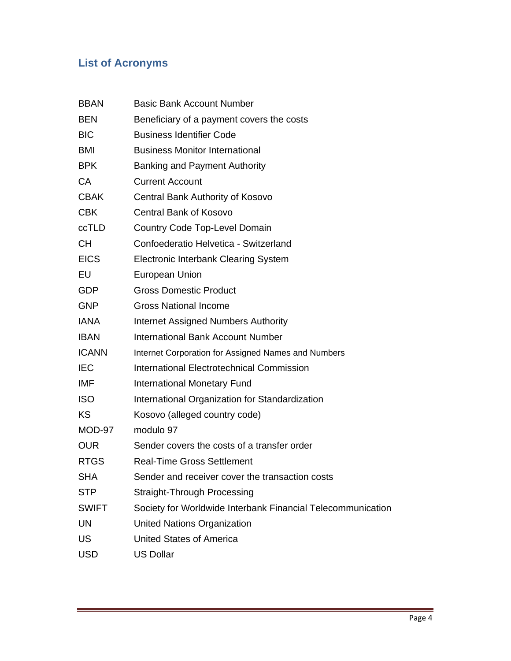## **List of Acronyms**

| <b>BBAN</b>  | <b>Basic Bank Account Number</b>                            |
|--------------|-------------------------------------------------------------|
| <b>BEN</b>   | Beneficiary of a payment covers the costs                   |
| <b>BIC</b>   | <b>Business Identifier Code</b>                             |
| <b>BMI</b>   | <b>Business Monitor International</b>                       |
| <b>BPK</b>   | <b>Banking and Payment Authority</b>                        |
| CA           | <b>Current Account</b>                                      |
| <b>CBAK</b>  | Central Bank Authority of Kosovo                            |
| <b>CBK</b>   | <b>Central Bank of Kosovo</b>                               |
| ccTLD        | <b>Country Code Top-Level Domain</b>                        |
| <b>CH</b>    | Confoederatio Helvetica - Switzerland                       |
| <b>EICS</b>  | <b>Electronic Interbank Clearing System</b>                 |
| EU           | European Union                                              |
| <b>GDP</b>   | <b>Gross Domestic Product</b>                               |
| <b>GNP</b>   | <b>Gross National Income</b>                                |
| <b>IANA</b>  | <b>Internet Assigned Numbers Authority</b>                  |
| <b>IBAN</b>  | <b>International Bank Account Number</b>                    |
| <b>ICANN</b> | Internet Corporation for Assigned Names and Numbers         |
| <b>IEC</b>   | International Electrotechnical Commission                   |
| <b>IMF</b>   | <b>International Monetary Fund</b>                          |
| <b>ISO</b>   | International Organization for Standardization              |
| KS           | Kosovo (alleged country code)                               |
| MOD-97       | modulo 97                                                   |
| <b>OUR</b>   | Sender covers the costs of a transfer order                 |
| <b>RTGS</b>  | <b>Real-Time Gross Settlement</b>                           |
| <b>SHA</b>   | Sender and receiver cover the transaction costs             |
| <b>STP</b>   | <b>Straight-Through Processing</b>                          |
| <b>SWIFT</b> | Society for Worldwide Interbank Financial Telecommunication |
| <b>UN</b>    | <b>United Nations Organization</b>                          |
| US           | <b>United States of America</b>                             |
| <b>USD</b>   | <b>US Dollar</b>                                            |
|              |                                                             |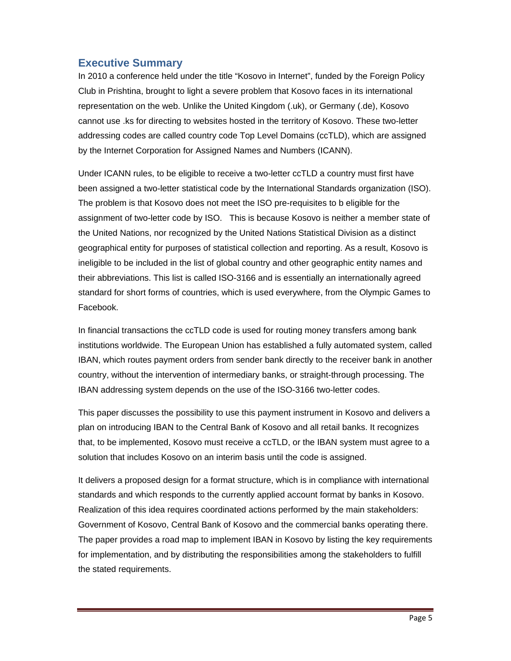#### **Executive Summary**

In 2010 a conference held under the title "Kosovo in Internet", funded by the Foreign Policy Club in Prishtina, brought to light a severe problem that Kosovo faces in its international representation on the web. Unlike the United Kingdom (.uk), or Germany (.de), Kosovo cannot use .ks for directing to websites hosted in the territory of Kosovo. These two-letter addressing codes are called country code Top Level Domains (ccTLD), which are assigned by the Internet Corporation for Assigned Names and Numbers (ICANN).

Under ICANN rules, to be eligible to receive a two-letter ccTLD a country must first have been assigned a two-letter statistical code by the International Standards organization (ISO). The problem is that Kosovo does not meet the ISO pre-requisites to b eligible for the assignment of two-letter code by ISO. This is because Kosovo is neither a member state of the United Nations, nor recognized by the United Nations Statistical Division as a distinct geographical entity for purposes of statistical collection and reporting. As a result, Kosovo is ineligible to be included in the list of global country and other geographic entity names and their abbreviations. This list is called ISO-3166 and is essentially an internationally agreed standard for short forms of countries, which is used everywhere, from the Olympic Games to Facebook.

In financial transactions the ccTLD code is used for routing money transfers among bank institutions worldwide. The European Union has established a fully automated system, called IBAN, which routes payment orders from sender bank directly to the receiver bank in another country, without the intervention of intermediary banks, or straight-through processing. The IBAN addressing system depends on the use of the ISO-3166 two-letter codes.

This paper discusses the possibility to use this payment instrument in Kosovo and delivers a plan on introducing IBAN to the Central Bank of Kosovo and all retail banks. It recognizes that, to be implemented, Kosovo must receive a ccTLD, or the IBAN system must agree to a solution that includes Kosovo on an interim basis until the code is assigned.

It delivers a proposed design for a format structure, which is in compliance with international standards and which responds to the currently applied account format by banks in Kosovo. Realization of this idea requires coordinated actions performed by the main stakeholders: Government of Kosovo, Central Bank of Kosovo and the commercial banks operating there. The paper provides a road map to implement IBAN in Kosovo by listing the key requirements for implementation, and by distributing the responsibilities among the stakeholders to fulfill the stated requirements.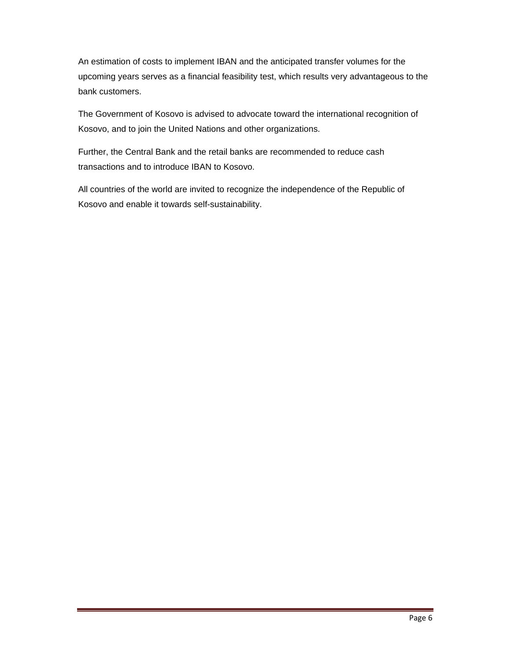An estimation of costs to implement IBAN and the anticipated transfer volumes for the upcoming years serves as a financial feasibility test, which results very advantageous to the bank customers.

The Government of Kosovo is advised to advocate toward the international recognition of Kosovo, and to join the United Nations and other organizations.

Further, the Central Bank and the retail banks are recommended to reduce cash transactions and to introduce IBAN to Kosovo.

All countries of the world are invited to recognize the independence of the Republic of Kosovo and enable it towards self-sustainability.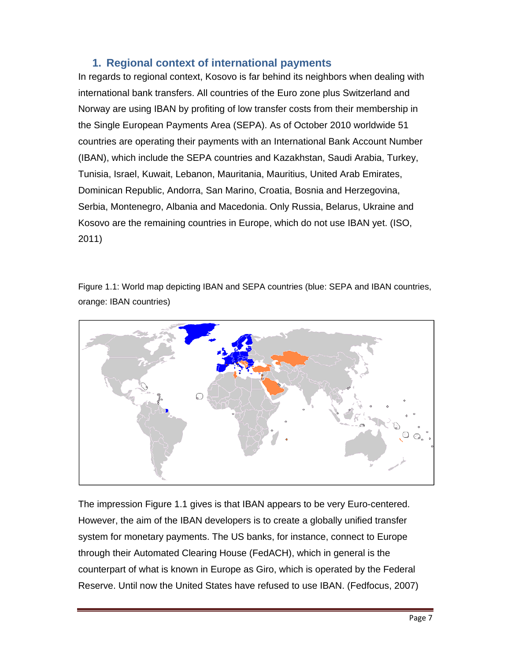#### **1. Regional context of international payments**

In regards to regional context, Kosovo is far behind its neighbors when dealing with international bank transfers. All countries of the Euro zone plus Switzerland and Norway are using IBAN by profiting of low transfer costs from their membership in the Single European Payments Area (SEPA). As of October 2010 worldwide 51 countries are operating their payments with an International Bank Account Number (IBAN), which include the SEPA countries and Kazakhstan, Saudi Arabia, Turkey, Tunisia, Israel, Kuwait, Lebanon, Mauritania, Mauritius, United Arab Emirates, Dominican Republic, Andorra, San Marino, Croatia, Bosnia and Herzegovina, Serbia, Montenegro, Albania and Macedonia. Only Russia, Belarus, Ukraine and Kosovo are the remaining countries in Europe, which do not use IBAN yet. (ISO, 2011)

Figure 1.1: World map depicting IBAN and SEPA countries (blue: SEPA and IBAN countries, orange: IBAN countries)



The impression Figure 1.1 gives is that IBAN appears to be very Euro-centered. However, the aim of the IBAN developers is to create a globally unified transfer system for monetary payments. The US banks, for instance, connect to Europe through their Automated Clearing House (FedACH), which in general is the counterpart of what is known in Europe as Giro, which is operated by the Federal Reserve. Until now the United States have refused to use IBAN. (Fedfocus, 2007)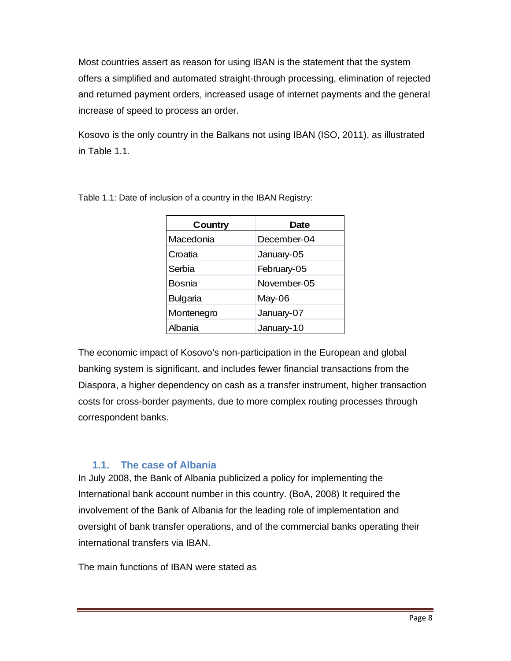Most countries assert as reason for using IBAN is the statement that the system offers a simplified and automated straight-through processing, elimination of rejected and returned payment orders, increased usage of internet payments and the general increase of speed to process an order.

Kosovo is the only country in the Balkans not using IBAN (ISO, 2011), as illustrated in Table 1.1.

| Country         | <b>Date</b> |
|-----------------|-------------|
| Macedonia       | December-04 |
| Croatia         | January-05  |
| Serbia          | February-05 |
| <b>Bosnia</b>   | November-05 |
| <b>Bulgaria</b> | May-06      |
| Montenegro      | January-07  |
| Albania         | January-10  |

Table 1.1: Date of inclusion of a country in the IBAN Registry:

The economic impact of Kosovo's non-participation in the European and global banking system is significant, and includes fewer financial transactions from the Diaspora, a higher dependency on cash as a transfer instrument, higher transaction costs for cross-border payments, due to more complex routing processes through correspondent banks.

#### **1.1. The case of Albania**

In July 2008, the Bank of Albania publicized a policy for implementing the International bank account number in this country. (BoA, 2008) It required the involvement of the Bank of Albania for the leading role of implementation and oversight of bank transfer operations, and of the commercial banks operating their international transfers via IBAN.

The main functions of IBAN were stated as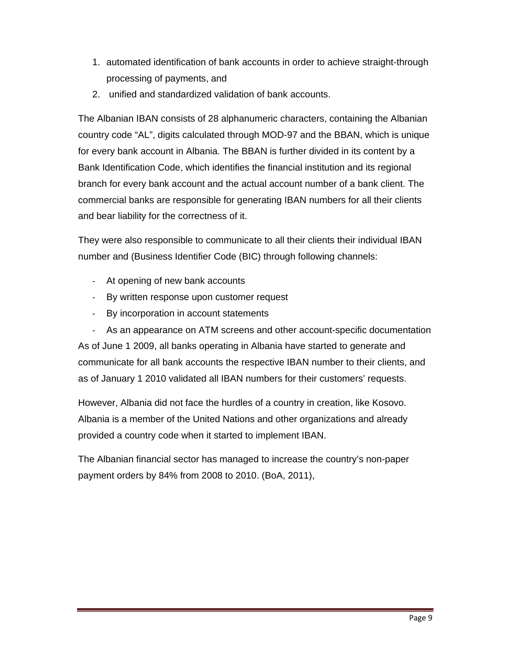- 1. automated identification of bank accounts in order to achieve straight-through processing of payments, and
- 2. unified and standardized validation of bank accounts.

The Albanian IBAN consists of 28 alphanumeric characters, containing the Albanian country code "AL", digits calculated through MOD-97 and the BBAN, which is unique for every bank account in Albania. The BBAN is further divided in its content by a Bank Identification Code, which identifies the financial institution and its regional branch for every bank account and the actual account number of a bank client. The commercial banks are responsible for generating IBAN numbers for all their clients and bear liability for the correctness of it.

They were also responsible to communicate to all their clients their individual IBAN number and (Business Identifier Code (BIC) through following channels:

- ‐ At opening of new bank accounts
- ‐ By written response upon customer request
- ‐ By incorporation in account statements

‐ As an appearance on ATM screens and other account-specific documentation As of June 1 2009, all banks operating in Albania have started to generate and communicate for all bank accounts the respective IBAN number to their clients, and as of January 1 2010 validated all IBAN numbers for their customers' requests.

However, Albania did not face the hurdles of a country in creation, like Kosovo. Albania is a member of the United Nations and other organizations and already provided a country code when it started to implement IBAN.

The Albanian financial sector has managed to increase the country's non-paper payment orders by 84% from 2008 to 2010. (BoA, 2011),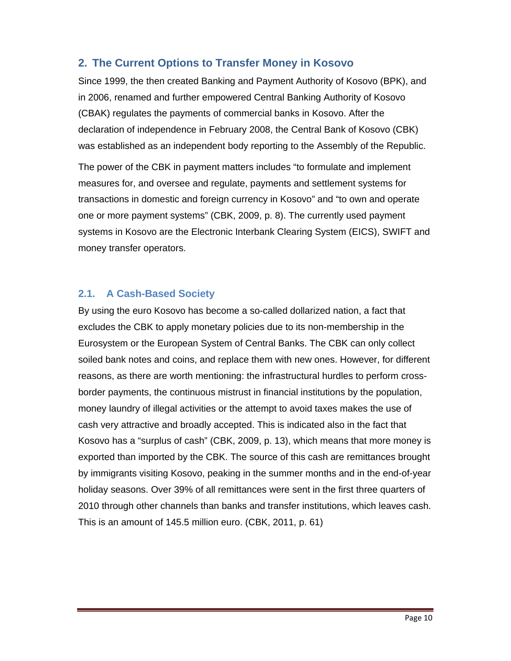#### **2. The Current Options to Transfer Money in Kosovo**

Since 1999, the then created Banking and Payment Authority of Kosovo (BPK), and in 2006, renamed and further empowered Central Banking Authority of Kosovo (CBAK) regulates the payments of commercial banks in Kosovo. After the declaration of independence in February 2008, the Central Bank of Kosovo (CBK) was established as an independent body reporting to the Assembly of the Republic.

The power of the CBK in payment matters includes "to formulate and implement measures for, and oversee and regulate, payments and settlement systems for transactions in domestic and foreign currency in Kosovo" and "to own and operate one or more payment systems" (CBK, 2009, p. 8). The currently used payment systems in Kosovo are the Electronic Interbank Clearing System (EICS), SWIFT and money transfer operators.

#### **2.1. A Cash-Based Society**

By using the euro Kosovo has become a so-called dollarized nation, a fact that excludes the CBK to apply monetary policies due to its non-membership in the Eurosystem or the European System of Central Banks. The CBK can only collect soiled bank notes and coins, and replace them with new ones. However, for different reasons, as there are worth mentioning: the infrastructural hurdles to perform crossborder payments, the continuous mistrust in financial institutions by the population, money laundry of illegal activities or the attempt to avoid taxes makes the use of cash very attractive and broadly accepted. This is indicated also in the fact that Kosovo has a "surplus of cash" (CBK, 2009, p. 13), which means that more money is exported than imported by the CBK. The source of this cash are remittances brought by immigrants visiting Kosovo, peaking in the summer months and in the end-of-year holiday seasons. Over 39% of all remittances were sent in the first three quarters of 2010 through other channels than banks and transfer institutions, which leaves cash. This is an amount of 145.5 million euro. (CBK, 2011, p. 61)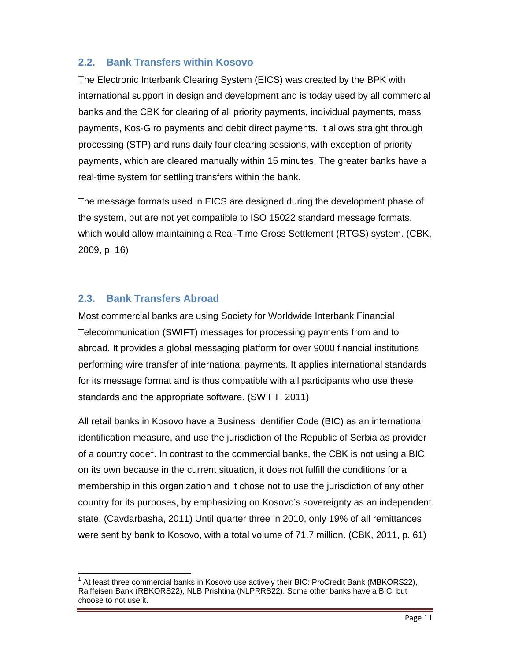#### **2.2. Bank Transfers within Kosovo**

The Electronic Interbank Clearing System (EICS) was created by the BPK with international support in design and development and is today used by all commercial banks and the CBK for clearing of all priority payments, individual payments, mass payments, Kos-Giro payments and debit direct payments. It allows straight through processing (STP) and runs daily four clearing sessions, with exception of priority payments, which are cleared manually within 15 minutes. The greater banks have a real-time system for settling transfers within the bank.

The message formats used in EICS are designed during the development phase of the system, but are not yet compatible to ISO 15022 standard message formats, which would allow maintaining a Real-Time Gross Settlement (RTGS) system. (CBK, 2009, p. 16)

#### **2.3. Bank Transfers Abroad**

-

Most commercial banks are using Society for Worldwide Interbank Financial Telecommunication (SWIFT) messages for processing payments from and to abroad. It provides a global messaging platform for over 9000 financial institutions performing wire transfer of international payments. It applies international standards for its message format and is thus compatible with all participants who use these standards and the appropriate software. (SWIFT, 2011)

All retail banks in Kosovo have a Business Identifier Code (BIC) as an international identification measure, and use the jurisdiction of the Republic of Serbia as provider of a country code<sup>1</sup>. In contrast to the commercial banks, the CBK is not using a BIC on its own because in the current situation, it does not fulfill the conditions for a membership in this organization and it chose not to use the jurisdiction of any other country for its purposes, by emphasizing on Kosovo's sovereignty as an independent state. (Cavdarbasha, 2011) Until quarter three in 2010, only 19% of all remittances were sent by bank to Kosovo, with a total volume of 71.7 million. (CBK, 2011, p. 61)

 $1$  At least three commercial banks in Kosovo use actively their BIC: ProCredit Bank (MBKORS22), Raiffeisen Bank (RBKORS22), NLB Prishtina (NLPRRS22). Some other banks have a BIC, but choose to not use it.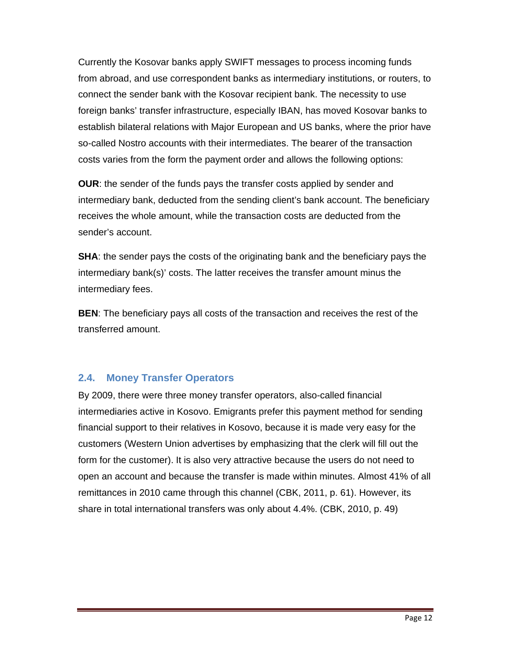Currently the Kosovar banks apply SWIFT messages to process incoming funds from abroad, and use correspondent banks as intermediary institutions, or routers, to connect the sender bank with the Kosovar recipient bank. The necessity to use foreign banks' transfer infrastructure, especially IBAN, has moved Kosovar banks to establish bilateral relations with Major European and US banks, where the prior have so-called Nostro accounts with their intermediates. The bearer of the transaction costs varies from the form the payment order and allows the following options:

**OUR**: the sender of the funds pays the transfer costs applied by sender and intermediary bank, deducted from the sending client's bank account. The beneficiary receives the whole amount, while the transaction costs are deducted from the sender's account.

**SHA**: the sender pays the costs of the originating bank and the beneficiary pays the intermediary bank(s)' costs. The latter receives the transfer amount minus the intermediary fees.

**BEN**: The beneficiary pays all costs of the transaction and receives the rest of the transferred amount.

#### **2.4. Money Transfer Operators**

By 2009, there were three money transfer operators, also-called financial intermediaries active in Kosovo. Emigrants prefer this payment method for sending financial support to their relatives in Kosovo, because it is made very easy for the customers (Western Union advertises by emphasizing that the clerk will fill out the form for the customer). It is also very attractive because the users do not need to open an account and because the transfer is made within minutes. Almost 41% of all remittances in 2010 came through this channel (CBK, 2011, p. 61). However, its share in total international transfers was only about 4.4%. (CBK, 2010, p. 49)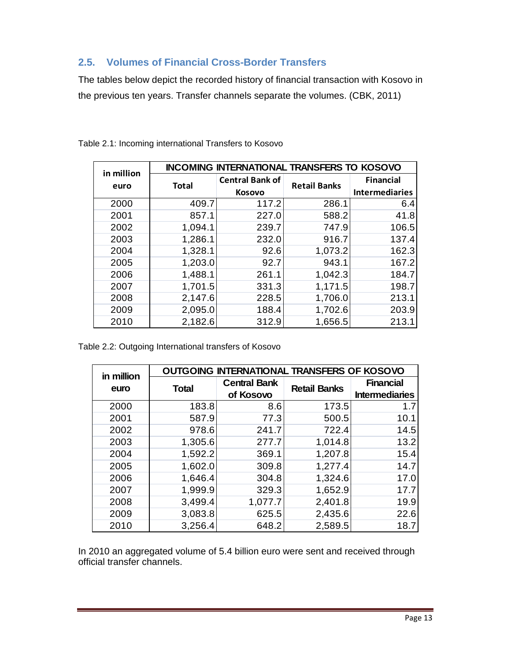#### **2.5. Volumes of Financial Cross-Border Transfers**

The tables below depict the recorded history of financial transaction with Kosovo in the previous ten years. Transfer channels separate the volumes. (CBK, 2011)

| in million |              | <b>INCOMING INTERNATIONAL TRANSFERS TO KOSOVO</b> |                     |                       |
|------------|--------------|---------------------------------------------------|---------------------|-----------------------|
| euro       | <b>Total</b> | <b>Central Bank of</b>                            | <b>Retail Banks</b> | <b>Financial</b>      |
|            |              | <b>Kosovo</b>                                     |                     | <b>Intermediaries</b> |
| 2000       | 409.7        | 117.2                                             | 286.1               | 6.4                   |
| 2001       | 857.1        | 227.0                                             | 588.2               | 41.8                  |
| 2002       | 1,094.1      | 239.7                                             | 747.9               | 106.5                 |
| 2003       | 1,286.1      | 232.0                                             | 916.7               | 137.4                 |
| 2004       | 1,328.1      | 92.6                                              | 1,073.2             | 162.3                 |
| 2005       | 1,203.0      | 92.7                                              | 943.1               | 167.2                 |
| 2006       | 1,488.1      | 261.1                                             | 1,042.3             | 184.7                 |
| 2007       | 1,701.5      | 331.3                                             | 1,171.5             | 198.7                 |
| 2008       | 2,147.6      | 228.5                                             | 1,706.0             | 213.1                 |
| 2009       | 2,095.0      | 188.4                                             | 1,702.6             | 203.9                 |
| 2010       | 2,182.6      | 312.9                                             | 1,656.5             | 213.1                 |

Table 2.1: Incoming international Transfers to Kosovo

Table 2.2: Outgoing International transfers of Kosovo

| in million |              | <b>OUTGOING INTERNATIONAL TRANSFERS OF KOSOVO</b> |                     |                                           |
|------------|--------------|---------------------------------------------------|---------------------|-------------------------------------------|
| euro       | <b>Total</b> | <b>Central Bank</b><br>of Kosovo                  | <b>Retail Banks</b> | <b>Financial</b><br><b>Intermediaries</b> |
| 2000       | 183.8        | 8.6                                               | 173.5               | 1.7                                       |
| 2001       | 587.9        | 77.3                                              | 500.5               | 10.1                                      |
| 2002       | 978.6        | 241.7                                             | 722.4               | 14.5                                      |
| 2003       | 1,305.6      | 277.7                                             | 1,014.8             | 13.2                                      |
| 2004       | 1,592.2      | 369.1                                             | 1,207.8             | 15.4                                      |
| 2005       | 1,602.0      | 309.8                                             | 1,277.4             | 14.7                                      |
| 2006       | 1,646.4      | 304.8                                             | 1,324.6             | 17.0                                      |
| 2007       | 1,999.9      | 329.3                                             | 1,652.9             | 17.7                                      |
| 2008       | 3,499.4      | 1,077.7                                           | 2,401.8             | 19.9                                      |
| 2009       | 3,083.8      | 625.5                                             | 2,435.6             | 22.6                                      |
| 2010       | 3,256.4      | 648.2                                             | 2,589.5             | 18.7                                      |

In 2010 an aggregated volume of 5.4 billion euro were sent and received through official transfer channels.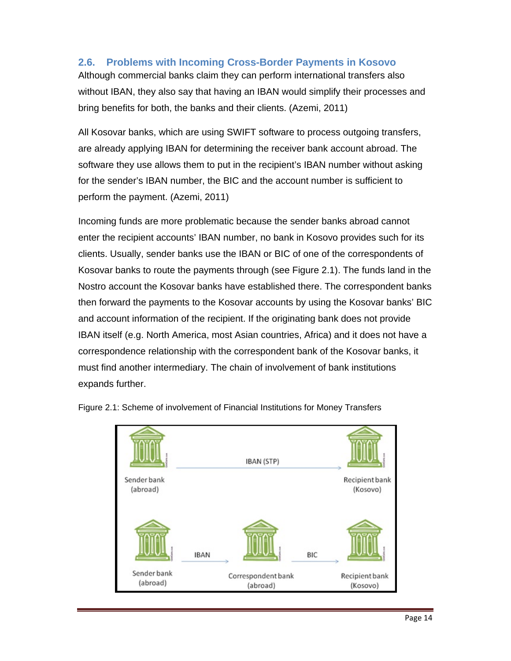#### **2.6. Problems with Incoming Cross-Border Payments in Kosovo**

Although commercial banks claim they can perform international transfers also without IBAN, they also say that having an IBAN would simplify their processes and bring benefits for both, the banks and their clients. (Azemi, 2011)

All Kosovar banks, which are using SWIFT software to process outgoing transfers, are already applying IBAN for determining the receiver bank account abroad. The software they use allows them to put in the recipient's IBAN number without asking for the sender's IBAN number, the BIC and the account number is sufficient to perform the payment. (Azemi, 2011)

Incoming funds are more problematic because the sender banks abroad cannot enter the recipient accounts' IBAN number, no bank in Kosovo provides such for its clients. Usually, sender banks use the IBAN or BIC of one of the correspondents of Kosovar banks to route the payments through (see Figure 2.1). The funds land in the Nostro account the Kosovar banks have established there. The correspondent banks then forward the payments to the Kosovar accounts by using the Kosovar banks' BIC and account information of the recipient. If the originating bank does not provide IBAN itself (e.g. North America, most Asian countries, Africa) and it does not have a correspondence relationship with the correspondent bank of the Kosovar banks, it must find another intermediary. The chain of involvement of bank institutions expands further.



Figure 2.1: Scheme of involvement of Financial Institutions for Money Transfers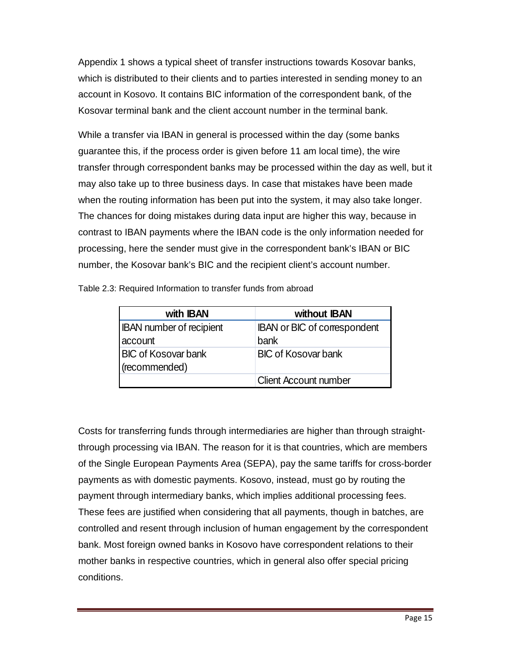Appendix 1 shows a typical sheet of transfer instructions towards Kosovar banks, which is distributed to their clients and to parties interested in sending money to an account in Kosovo. It contains BIC information of the correspondent bank, of the Kosovar terminal bank and the client account number in the terminal bank.

While a transfer via IBAN in general is processed within the day (some banks guarantee this, if the process order is given before 11 am local time), the wire transfer through correspondent banks may be processed within the day as well, but it may also take up to three business days. In case that mistakes have been made when the routing information has been put into the system, it may also take longer. The chances for doing mistakes during data input are higher this way, because in contrast to IBAN payments where the IBAN code is the only information needed for processing, here the sender must give in the correspondent bank's IBAN or BIC number, the Kosovar bank's BIC and the recipient client's account number.

| with <b>IBAN</b>                           | without IBAN                                |
|--------------------------------------------|---------------------------------------------|
| <b>IBAN</b> number of recipient<br>account | <b>IBAN or BIC of correspondent</b><br>bank |
| <b>BIC of Kosovar bank</b>                 | <b>BIC of Kosovar bank</b>                  |
| (recommended)                              |                                             |
|                                            | <b>Client Account number</b>                |

Table 2.3: Required Information to transfer funds from abroad

Costs for transferring funds through intermediaries are higher than through straightthrough processing via IBAN. The reason for it is that countries, which are members of the Single European Payments Area (SEPA), pay the same tariffs for cross-border payments as with domestic payments. Kosovo, instead, must go by routing the payment through intermediary banks, which implies additional processing fees. These fees are justified when considering that all payments, though in batches, are controlled and resent through inclusion of human engagement by the correspondent bank. Most foreign owned banks in Kosovo have correspondent relations to their mother banks in respective countries, which in general also offer special pricing conditions.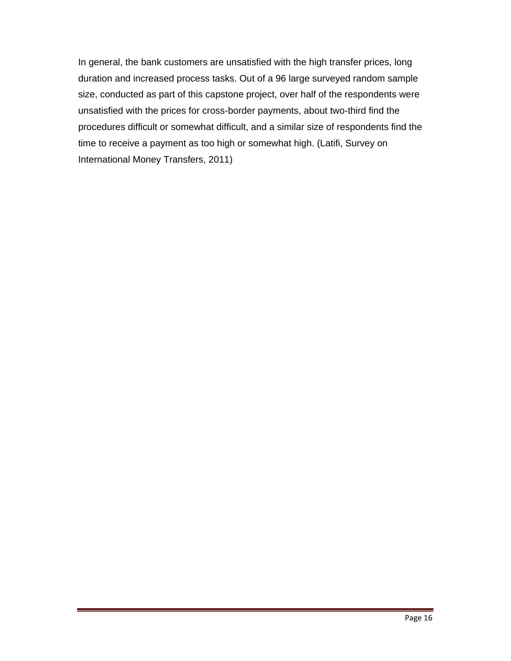In general, the bank customers are unsatisfied with the high transfer prices, long duration and increased process tasks. Out of a 96 large surveyed random sample size, conducted as part of this capstone project, over half of the respondents were unsatisfied with the prices for cross-border payments, about two-third find the procedures difficult or somewhat difficult, and a similar size of respondents find the time to receive a payment as too high or somewhat high. (Latifi, Survey on International Money Transfers, 2011)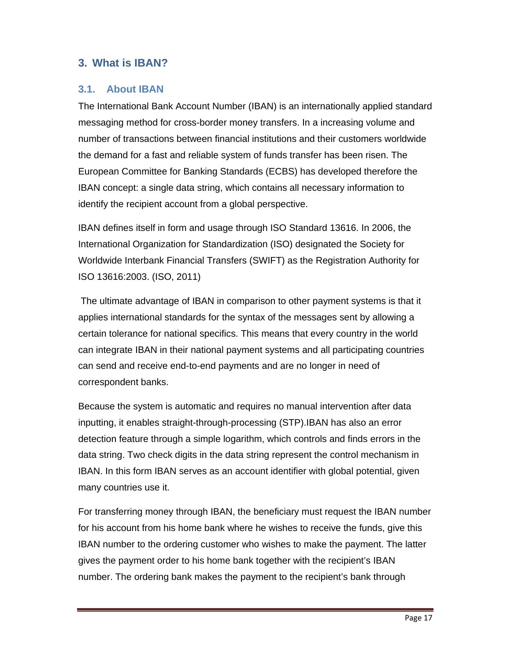#### **3. What is IBAN?**

#### **3.1. About IBAN**

The International Bank Account Number (IBAN) is an internationally applied standard messaging method for cross-border money transfers. In a increasing volume and number of transactions between financial institutions and their customers worldwide the demand for a fast and reliable system of funds transfer has been risen. The European Committee for Banking Standards (ECBS) has developed therefore the IBAN concept: a single data string, which contains all necessary information to identify the recipient account from a global perspective.

IBAN defines itself in form and usage through ISO Standard 13616. In 2006, the International Organization for Standardization (ISO) designated the Society for Worldwide Interbank Financial Transfers (SWIFT) as the Registration Authority for ISO 13616:2003. (ISO, 2011)

 The ultimate advantage of IBAN in comparison to other payment systems is that it applies international standards for the syntax of the messages sent by allowing a certain tolerance for national specifics. This means that every country in the world can integrate IBAN in their national payment systems and all participating countries can send and receive end-to-end payments and are no longer in need of correspondent banks.

Because the system is automatic and requires no manual intervention after data inputting, it enables straight-through-processing (STP).IBAN has also an error detection feature through a simple logarithm, which controls and finds errors in the data string. Two check digits in the data string represent the control mechanism in IBAN. In this form IBAN serves as an account identifier with global potential, given many countries use it.

For transferring money through IBAN, the beneficiary must request the IBAN number for his account from his home bank where he wishes to receive the funds, give this IBAN number to the ordering customer who wishes to make the payment. The latter gives the payment order to his home bank together with the recipient's IBAN number. The ordering bank makes the payment to the recipient's bank through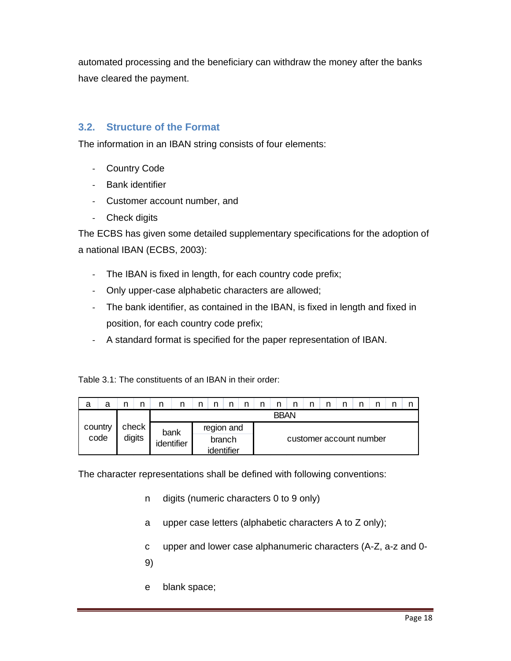automated processing and the beneficiary can withdraw the money after the banks have cleared the payment.

#### **3.2. Structure of the Format**

The information in an IBAN string consists of four elements:

- ‐ Country Code
- ‐ Bank identifier
- ‐ Customer account number, and
- ‐ Check digits

The ECBS has given some detailed supplementary specifications for the adoption of a national IBAN (ECBS, 2003):

- ‐ The IBAN is fixed in length, for each country code prefix;
- ‐ Only upper-case alphabetic characters are allowed;
- ‐ The bank identifier, as contained in the IBAN, is fixed in length and fixed in position, for each country code prefix;
- ‐ A standard format is specified for the paper representation of IBAN.

Table 3.1: The constituents of an IBAN in their order:

| a | a       |        | n | n |            | n |        |  | n | n           | n                       |  |  |  |      |            |  |  |  |  |  |  |  |  |  |
|---|---------|--------|---|---|------------|---|--------|--|---|-------------|-------------------------|--|--|--|------|------------|--|--|--|--|--|--|--|--|--|
|   |         |        |   |   |            |   |        |  |   | <b>BBAN</b> |                         |  |  |  |      |            |  |  |  |  |  |  |  |  |  |
|   | country |        |   |   |            |   |        |  |   | check       |                         |  |  |  | bank | region and |  |  |  |  |  |  |  |  |  |
|   | code    | digits |   |   | identifier |   | branch |  |   |             | customer account number |  |  |  |      |            |  |  |  |  |  |  |  |  |  |
|   |         |        |   |   |            |   |        |  |   |             |                         |  |  |  |      |            |  |  |  |  |  |  |  |  |  |

The character representations shall be defined with following conventions:

- n digits (numeric characters 0 to 9 only)
- a upper case letters (alphabetic characters A to Z only);
- c upper and lower case alphanumeric characters (A-Z, a-z and 0-
- 9)
- e blank space;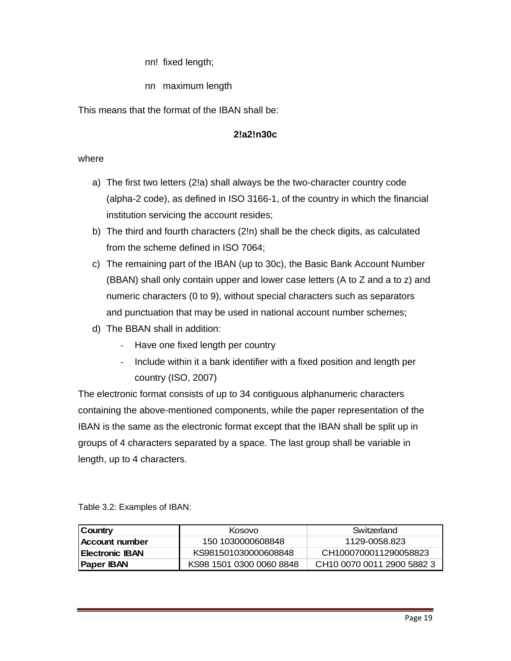nn! fixed length;

nn maximum length

This means that the format of the IBAN shall be:

#### **2!a2!n30c**

#### where

- a) The first two letters (2!a) shall always be the two-character country code (alpha-2 code), as defined in ISO 3166-1, of the country in which the financial institution servicing the account resides;
- b) The third and fourth characters (2!n) shall be the check digits, as calculated from the scheme defined in ISO 7064;
- c) The remaining part of the IBAN (up to 30c), the Basic Bank Account Number (BBAN) shall only contain upper and lower case letters (A to Z and a to z) and numeric characters (0 to 9), without special characters such as separators and punctuation that may be used in national account number schemes;
- d) The BBAN shall in addition:
	- ‐ Have one fixed length per country
	- ‐ Include within it a bank identifier with a fixed position and length per country (ISO, 2007)

The electronic format consists of up to 34 contiguous alphanumeric characters containing the above-mentioned components, while the paper representation of the IBAN is the same as the electronic format except that the IBAN shall be split up in groups of 4 characters separated by a space. The last group shall be variable in length, up to 4 characters.

Table 3.2: Examples of IBAN:

| Country                | Kosovo                   | Switzerland                            |
|------------------------|--------------------------|----------------------------------------|
| Account number         | 150 1030000608848        | 1129-0058.823                          |
| <b>Electronic IBAN</b> | KS981501030000608848     | CH1000700011290058823                  |
| <b>Paper IBAN</b>      | KS98 1501 0300 0060 8848 | CH <sub>10</sub> 0070 0011 2900 5882 3 |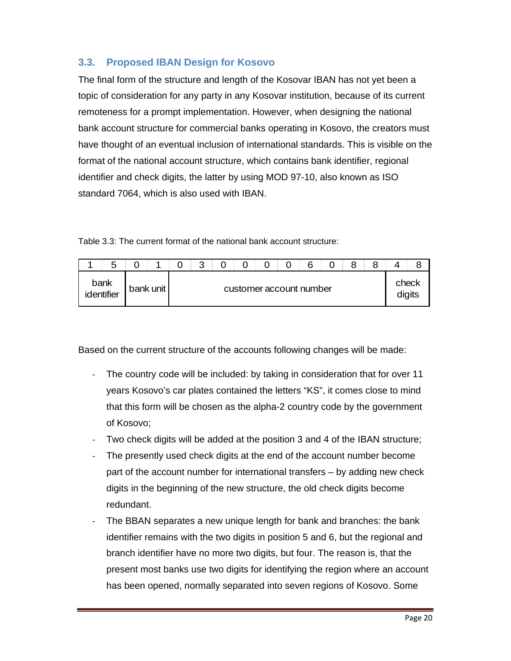#### **3.3. Proposed IBAN Design for Kosovo**

The final form of the structure and length of the Kosovar IBAN has not yet been a topic of consideration for any party in any Kosovar institution, because of its current remoteness for a prompt implementation. However, when designing the national bank account structure for commercial banks operating in Kosovo, the creators must have thought of an eventual inclusion of international standards. This is visible on the format of the national account structure, which contains bank identifier, regional identifier and check digits, the latter by using MOD 97-10, also known as ISO standard 7064, which is also used with IBAN.

Table 3.3: The current format of the national bank account structure:

| b                  |           | ◠<br>u |  |  | n                       |  |       |        |
|--------------------|-----------|--------|--|--|-------------------------|--|-------|--------|
| bank<br>identifier | bank unit |        |  |  | customer account number |  | check | digits |

Based on the current structure of the accounts following changes will be made:

- ‐ The country code will be included: by taking in consideration that for over 11 years Kosovo's car plates contained the letters "KS", it comes close to mind that this form will be chosen as the alpha-2 country code by the government of Kosovo;
- ‐ Two check digits will be added at the position 3 and 4 of the IBAN structure;
- The presently used check digits at the end of the account number become part of the account number for international transfers – by adding new check digits in the beginning of the new structure, the old check digits become redundant.
- The BBAN separates a new unique length for bank and branches: the bank identifier remains with the two digits in position 5 and 6, but the regional and branch identifier have no more two digits, but four. The reason is, that the present most banks use two digits for identifying the region where an account has been opened, normally separated into seven regions of Kosovo. Some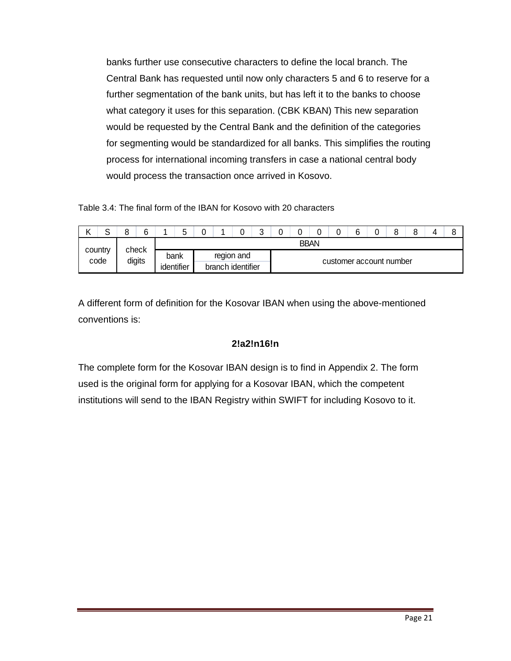banks further use consecutive characters to define the local branch. The Central Bank has requested until now only characters 5 and 6 to reserve for a further segmentation of the bank units, but has left it to the banks to choose what category it uses for this separation. (CBK KBAN) This new separation would be requested by the Central Bank and the definition of the categories for segmenting would be standardized for all banks. This simplifies the routing process for international incoming transfers in case a national central body would process the transaction once arrived in Kosovo.

Table 3.4: The final form of the IBAN for Kosovo with 20 characters

| ╯       | $\sim$ |       |        |                                                            | ∽<br>ັ |  |  |            | ⌒ |  |  |  | $\sim$<br>ັ | 6 |  |  |  |  | Ω<br>O |  |
|---------|--------|-------|--------|------------------------------------------------------------|--------|--|--|------------|---|--|--|--|-------------|---|--|--|--|--|--------|--|
|         |        |       |        | <b>BBAN</b>                                                |        |  |  |            |   |  |  |  |             |   |  |  |  |  |        |  |
| country | code   | check | digits | bank                                                       |        |  |  | region and |   |  |  |  |             |   |  |  |  |  |        |  |
|         |        |       |        | customer account number<br>identifier<br>branch identifier |        |  |  |            |   |  |  |  |             |   |  |  |  |  |        |  |

A different form of definition for the Kosovar IBAN when using the above-mentioned conventions is:

#### **2!a2!n16!n**

The complete form for the Kosovar IBAN design is to find in Appendix 2. The form used is the original form for applying for a Kosovar IBAN, which the competent institutions will send to the IBAN Registry within SWIFT for including Kosovo to it.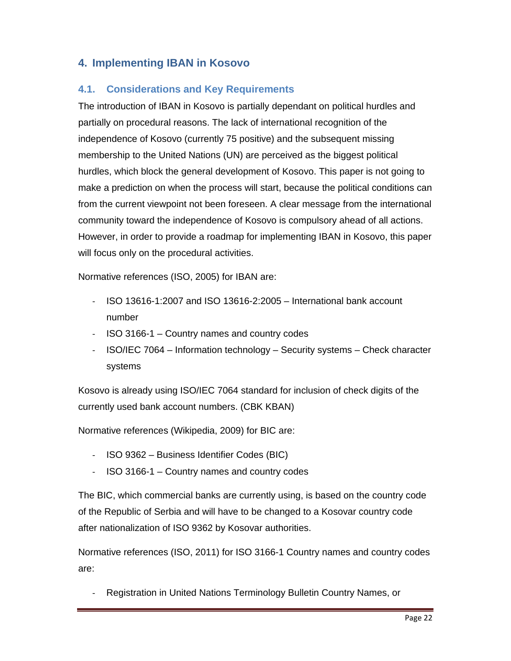#### **4. Implementing IBAN in Kosovo**

#### **4.1. Considerations and Key Requirements**

The introduction of IBAN in Kosovo is partially dependant on political hurdles and partially on procedural reasons. The lack of international recognition of the independence of Kosovo (currently 75 positive) and the subsequent missing membership to the United Nations (UN) are perceived as the biggest political hurdles, which block the general development of Kosovo. This paper is not going to make a prediction on when the process will start, because the political conditions can from the current viewpoint not been foreseen. A clear message from the international community toward the independence of Kosovo is compulsory ahead of all actions. However, in order to provide a roadmap for implementing IBAN in Kosovo, this paper will focus only on the procedural activities.

Normative references (ISO, 2005) for IBAN are:

- ‐ ISO 13616-1:2007 and ISO 13616-2:2005 International bank account number
- ‐ ISO 3166-1 Country names and country codes
- ‐ ISO/IEC 7064 Information technology Security systems Check character systems

Kosovo is already using ISO/IEC 7064 standard for inclusion of check digits of the currently used bank account numbers. (CBK KBAN)

Normative references (Wikipedia, 2009) for BIC are:

- ‐ ISO 9362 Business Identifier Codes (BIC)
- ‐ ISO 3166-1 Country names and country codes

The BIC, which commercial banks are currently using, is based on the country code of the Republic of Serbia and will have to be changed to a Kosovar country code after nationalization of ISO 9362 by Kosovar authorities.

Normative references (ISO, 2011) for ISO 3166-1 Country names and country codes are:

‐ Registration in United Nations Terminology Bulletin Country Names, or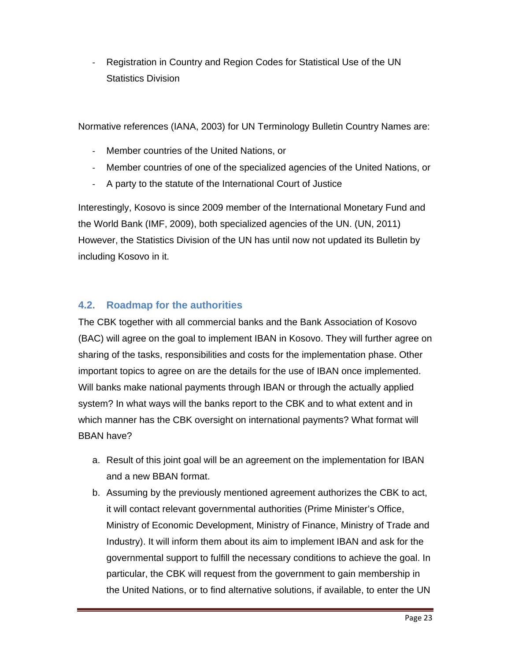‐ Registration in Country and Region Codes for Statistical Use of the UN Statistics Division

Normative references (IANA, 2003) for UN Terminology Bulletin Country Names are:

- ‐ Member countries of the United Nations, or
- ‐ Member countries of one of the specialized agencies of the United Nations, or
- ‐ A party to the statute of the International Court of Justice

Interestingly, Kosovo is since 2009 member of the International Monetary Fund and the World Bank (IMF, 2009), both specialized agencies of the UN. (UN, 2011) However, the Statistics Division of the UN has until now not updated its Bulletin by including Kosovo in it.

#### **4.2. Roadmap for the authorities**

The CBK together with all commercial banks and the Bank Association of Kosovo (BAC) will agree on the goal to implement IBAN in Kosovo. They will further agree on sharing of the tasks, responsibilities and costs for the implementation phase. Other important topics to agree on are the details for the use of IBAN once implemented. Will banks make national payments through IBAN or through the actually applied system? In what ways will the banks report to the CBK and to what extent and in which manner has the CBK oversight on international payments? What format will BBAN have?

- a. Result of this joint goal will be an agreement on the implementation for IBAN and a new BBAN format.
- b. Assuming by the previously mentioned agreement authorizes the CBK to act, it will contact relevant governmental authorities (Prime Minister's Office, Ministry of Economic Development, Ministry of Finance, Ministry of Trade and Industry). It will inform them about its aim to implement IBAN and ask for the governmental support to fulfill the necessary conditions to achieve the goal. In particular, the CBK will request from the government to gain membership in the United Nations, or to find alternative solutions, if available, to enter the UN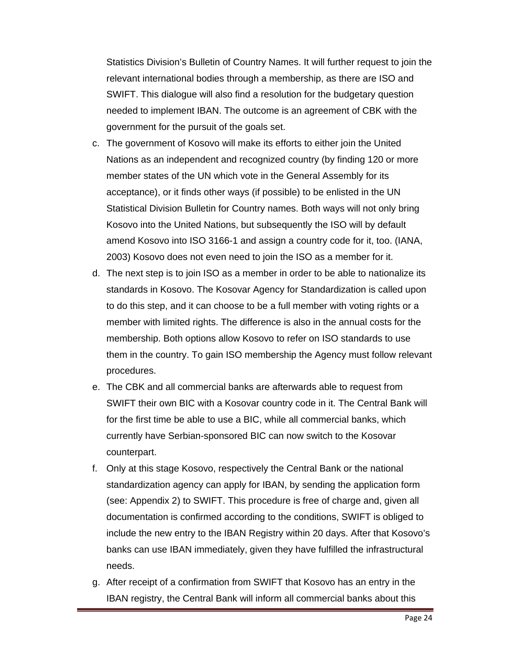Statistics Division's Bulletin of Country Names. It will further request to join the relevant international bodies through a membership, as there are ISO and SWIFT. This dialogue will also find a resolution for the budgetary question needed to implement IBAN. The outcome is an agreement of CBK with the government for the pursuit of the goals set.

- c. The government of Kosovo will make its efforts to either join the United Nations as an independent and recognized country (by finding 120 or more member states of the UN which vote in the General Assembly for its acceptance), or it finds other ways (if possible) to be enlisted in the UN Statistical Division Bulletin for Country names. Both ways will not only bring Kosovo into the United Nations, but subsequently the ISO will by default amend Kosovo into ISO 3166-1 and assign a country code for it, too. (IANA, 2003) Kosovo does not even need to join the ISO as a member for it.
- d. The next step is to join ISO as a member in order to be able to nationalize its standards in Kosovo. The Kosovar Agency for Standardization is called upon to do this step, and it can choose to be a full member with voting rights or a member with limited rights. The difference is also in the annual costs for the membership. Both options allow Kosovo to refer on ISO standards to use them in the country. To gain ISO membership the Agency must follow relevant procedures.
- e. The CBK and all commercial banks are afterwards able to request from SWIFT their own BIC with a Kosovar country code in it. The Central Bank will for the first time be able to use a BIC, while all commercial banks, which currently have Serbian-sponsored BIC can now switch to the Kosovar counterpart.
- f. Only at this stage Kosovo, respectively the Central Bank or the national standardization agency can apply for IBAN, by sending the application form (see: Appendix 2) to SWIFT. This procedure is free of charge and, given all documentation is confirmed according to the conditions, SWIFT is obliged to include the new entry to the IBAN Registry within 20 days. After that Kosovo's banks can use IBAN immediately, given they have fulfilled the infrastructural needs.
- g. After receipt of a confirmation from SWIFT that Kosovo has an entry in the IBAN registry, the Central Bank will inform all commercial banks about this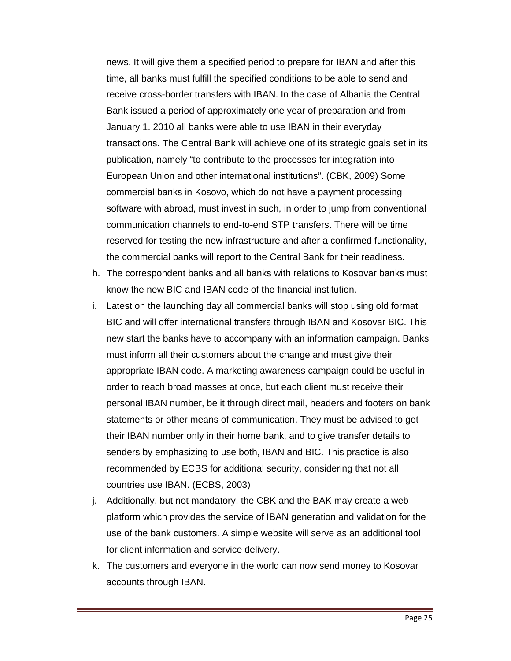news. It will give them a specified period to prepare for IBAN and after this time, all banks must fulfill the specified conditions to be able to send and receive cross-border transfers with IBAN. In the case of Albania the Central Bank issued a period of approximately one year of preparation and from January 1. 2010 all banks were able to use IBAN in their everyday transactions. The Central Bank will achieve one of its strategic goals set in its publication, namely "to contribute to the processes for integration into European Union and other international institutions". (CBK, 2009) Some commercial banks in Kosovo, which do not have a payment processing software with abroad, must invest in such, in order to jump from conventional communication channels to end-to-end STP transfers. There will be time reserved for testing the new infrastructure and after a confirmed functionality, the commercial banks will report to the Central Bank for their readiness.

- h. The correspondent banks and all banks with relations to Kosovar banks must know the new BIC and IBAN code of the financial institution.
- i. Latest on the launching day all commercial banks will stop using old format BIC and will offer international transfers through IBAN and Kosovar BIC. This new start the banks have to accompany with an information campaign. Banks must inform all their customers about the change and must give their appropriate IBAN code. A marketing awareness campaign could be useful in order to reach broad masses at once, but each client must receive their personal IBAN number, be it through direct mail, headers and footers on bank statements or other means of communication. They must be advised to get their IBAN number only in their home bank, and to give transfer details to senders by emphasizing to use both, IBAN and BIC. This practice is also recommended by ECBS for additional security, considering that not all countries use IBAN. (ECBS, 2003)
- j. Additionally, but not mandatory, the CBK and the BAK may create a web platform which provides the service of IBAN generation and validation for the use of the bank customers. A simple website will serve as an additional tool for client information and service delivery.
- k. The customers and everyone in the world can now send money to Kosovar accounts through IBAN.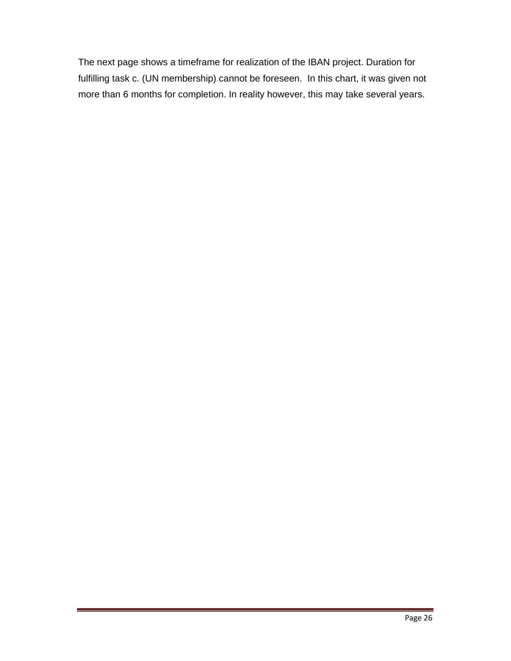The next page shows a timeframe for realization of the IBAN project. Duration for fulfilling task c. (UN membership) cannot be foreseen. In this chart, it was given not more than 6 months for completion. In reality however, this may take several years.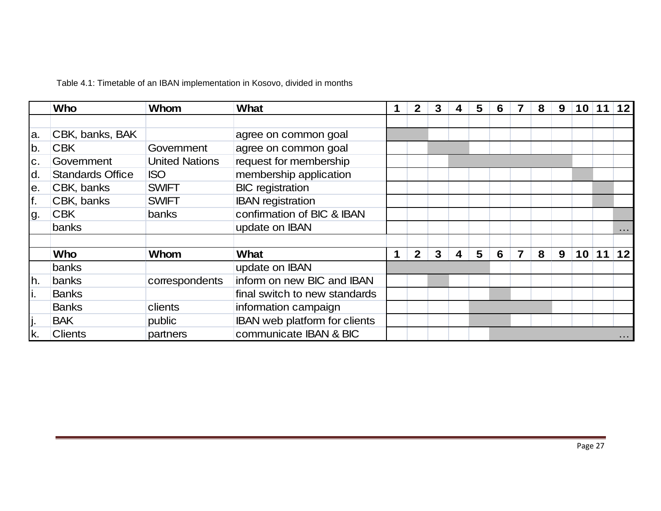|                | Who                     | Whom                  | <b>What</b>                   |   | $\mathbf{2}$   | 3 | 4 | 5 | 6 | 8 | 9 | 10 <sup>1</sup> | 11    | $12$     |
|----------------|-------------------------|-----------------------|-------------------------------|---|----------------|---|---|---|---|---|---|-----------------|-------|----------|
|                |                         |                       |                               |   |                |   |   |   |   |   |   |                 |       |          |
| a.             | CBK, banks, BAK         |                       | agree on common goal          |   |                |   |   |   |   |   |   |                 |       |          |
| b.             | <b>CBK</b>              | Government            | agree on common goal          |   |                |   |   |   |   |   |   |                 |       |          |
| $\mathbf{C}$ . | Government              | <b>United Nations</b> | request for membership        |   |                |   |   |   |   |   |   |                 |       |          |
| d.             | <b>Standards Office</b> | <b>ISO</b>            | membership application        |   |                |   |   |   |   |   |   |                 |       |          |
| е.             | CBK, banks              | <b>SWIFT</b>          | <b>BIC</b> registration       |   |                |   |   |   |   |   |   |                 |       |          |
| f.             | CBK, banks              | <b>SWIFT</b>          | <b>IBAN</b> registration      |   |                |   |   |   |   |   |   |                 |       |          |
| Ig.            | <b>CBK</b>              | banks                 | confirmation of BIC & IBAN    |   |                |   |   |   |   |   |   |                 |       |          |
|                | banks                   |                       | update on IBAN                |   |                |   |   |   |   |   |   |                 |       | $\cdots$ |
|                |                         |                       |                               |   |                |   |   |   |   |   |   |                 |       |          |
|                | <b>Who</b>              | Whom                  | <b>What</b>                   | 1 | 2 <sup>1</sup> | 3 | 4 | 5 | 6 | 8 | 9 |                 | 10 11 | 12       |
|                | banks                   |                       | update on IBAN                |   |                |   |   |   |   |   |   |                 |       |          |
| h.             | banks                   | correspondents        | inform on new BIC and IBAN    |   |                |   |   |   |   |   |   |                 |       |          |
| ι.             | <b>Banks</b>            |                       | final switch to new standards |   |                |   |   |   |   |   |   |                 |       |          |
|                | <b>Banks</b>            | clients               | information campaign          |   |                |   |   |   |   |   |   |                 |       |          |
| IJ۰            | <b>BAK</b>              | public                | IBAN web platform for clients |   |                |   |   |   |   |   |   |                 |       |          |
| k.             | <b>Clients</b>          | partners              | communicate IBAN & BIC        |   |                |   |   |   |   |   |   |                 |       | $\cdots$ |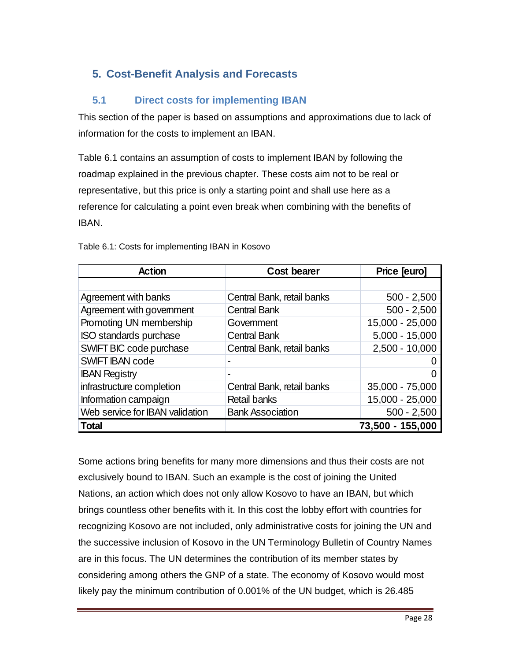#### **5. Cost-Benefit Analysis and Forecasts**

#### **5.1 Direct costs for implementing IBAN**

This section of the paper is based on assumptions and approximations due to lack of information for the costs to implement an IBAN.

Table 6.1 contains an assumption of costs to implement IBAN by following the roadmap explained in the previous chapter. These costs aim not to be real or representative, but this price is only a starting point and shall use here as a reference for calculating a point even break when combining with the benefits of IBAN.

| <b>Action</b>                   | <b>Cost bearer</b>         | Price [euro]     |
|---------------------------------|----------------------------|------------------|
|                                 |                            |                  |
| Agreement with banks            | Central Bank, retail banks | $500 - 2,500$    |
| Agreement with government       | <b>Central Bank</b>        | $500 - 2,500$    |
| Promoting UN membership         | Govemment                  | 15,000 - 25,000  |
| ISO standards purchase          | <b>Central Bank</b>        | $5,000 - 15,000$ |
| SWIFT BIC code purchase         | Central Bank, retail banks | $2,500 - 10,000$ |
| <b>SWIFT IBAN code</b>          |                            |                  |
| <b>IBAN Registry</b>            |                            |                  |
| infrastructure completion       | Central Bank, retail banks | 35,000 - 75,000  |
| Information campaign            | <b>Retail banks</b>        | 15,000 - 25,000  |
| Web service for IBAN validation | <b>Bank Association</b>    | $500 - 2,500$    |
| <b>Total</b>                    |                            | 73,500 - 155,000 |

Table 6.1: Costs for implementing IBAN in Kosovo

Some actions bring benefits for many more dimensions and thus their costs are not exclusively bound to IBAN. Such an example is the cost of joining the United Nations, an action which does not only allow Kosovo to have an IBAN, but which brings countless other benefits with it. In this cost the lobby effort with countries for recognizing Kosovo are not included, only administrative costs for joining the UN and the successive inclusion of Kosovo in the UN Terminology Bulletin of Country Names are in this focus. The UN determines the contribution of its member states by considering among others the GNP of a state. The economy of Kosovo would most likely pay the minimum contribution of 0.001% of the UN budget, which is 26.485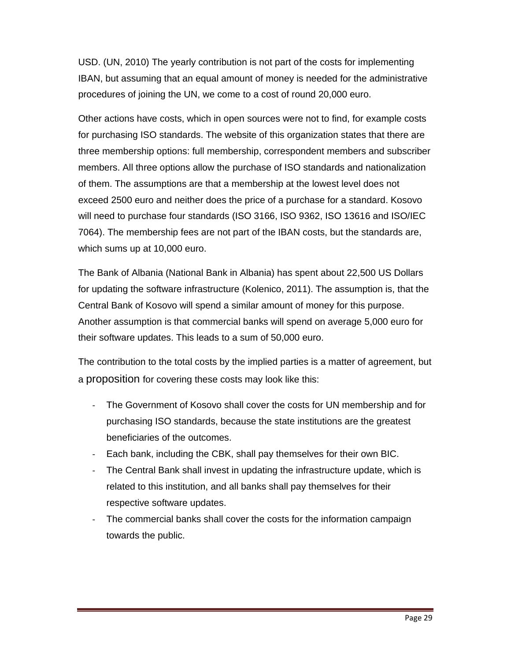USD. (UN, 2010) The yearly contribution is not part of the costs for implementing IBAN, but assuming that an equal amount of money is needed for the administrative procedures of joining the UN, we come to a cost of round 20,000 euro.

Other actions have costs, which in open sources were not to find, for example costs for purchasing ISO standards. The website of this organization states that there are three membership options: full membership, correspondent members and subscriber members. All three options allow the purchase of ISO standards and nationalization of them. The assumptions are that a membership at the lowest level does not exceed 2500 euro and neither does the price of a purchase for a standard. Kosovo will need to purchase four standards (ISO 3166, ISO 9362, ISO 13616 and ISO/IEC 7064). The membership fees are not part of the IBAN costs, but the standards are, which sums up at 10,000 euro.

The Bank of Albania (National Bank in Albania) has spent about 22,500 US Dollars for updating the software infrastructure (Kolenico, 2011). The assumption is, that the Central Bank of Kosovo will spend a similar amount of money for this purpose. Another assumption is that commercial banks will spend on average 5,000 euro for their software updates. This leads to a sum of 50,000 euro.

The contribution to the total costs by the implied parties is a matter of agreement, but a proposition for covering these costs may look like this:

- The Government of Kosovo shall cover the costs for UN membership and for purchasing ISO standards, because the state institutions are the greatest beneficiaries of the outcomes.
- ‐ Each bank, including the CBK, shall pay themselves for their own BIC.
- ‐ The Central Bank shall invest in updating the infrastructure update, which is related to this institution, and all banks shall pay themselves for their respective software updates.
- The commercial banks shall cover the costs for the information campaign towards the public.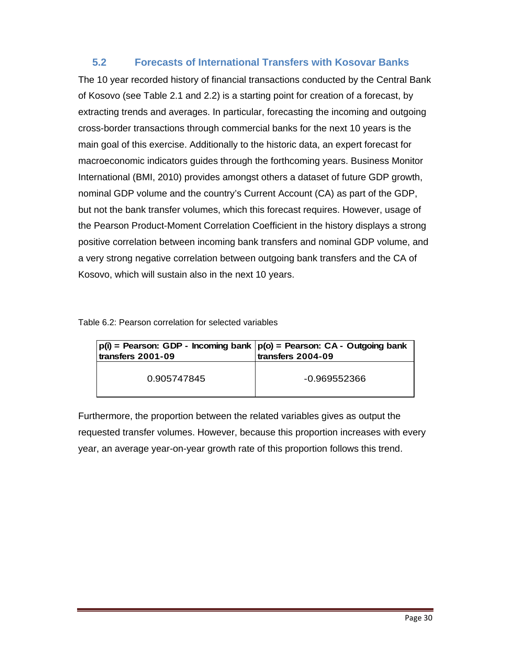#### **5.2 Forecasts of International Transfers with Kosovar Banks**

The 10 year recorded history of financial transactions conducted by the Central Bank of Kosovo (see Table 2.1 and 2.2) is a starting point for creation of a forecast, by extracting trends and averages. In particular, forecasting the incoming and outgoing cross-border transactions through commercial banks for the next 10 years is the main goal of this exercise. Additionally to the historic data, an expert forecast for macroeconomic indicators guides through the forthcoming years. Business Monitor International (BMI, 2010) provides amongst others a dataset of future GDP growth, nominal GDP volume and the country's Current Account (CA) as part of the GDP, but not the bank transfer volumes, which this forecast requires. However, usage of the Pearson Product-Moment Correlation Coefficient in the history displays a strong positive correlation between incoming bank transfers and nominal GDP volume, and a very strong negative correlation between outgoing bank transfers and the CA of Kosovo, which will sustain also in the next 10 years.

| Table 6.2: Pearson correlation for selected variables |  |  |  |
|-------------------------------------------------------|--|--|--|
|-------------------------------------------------------|--|--|--|

| $p(i)$ = Pearson: GDP - Incoming bank $p(o)$ = Pearson: CA - Outgoing bank<br>transfers 2001-09 | transfers 2004-09 |
|-------------------------------------------------------------------------------------------------|-------------------|
| 0.905747845                                                                                     | -0.969552366      |

Furthermore, the proportion between the related variables gives as output the requested transfer volumes. However, because this proportion increases with every year, an average year-on-year growth rate of this proportion follows this trend.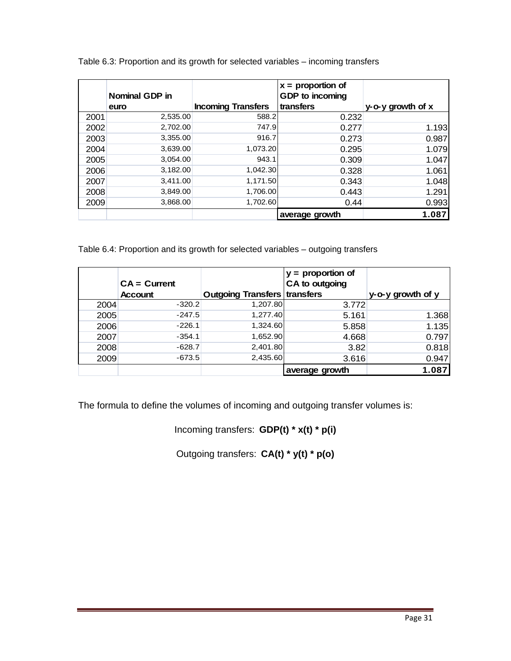|      | Nominal GDP in |                           | $x =$ proportion of<br>GDP to incoming |                   |
|------|----------------|---------------------------|----------------------------------------|-------------------|
|      | euro           | <b>Incoming Transfers</b> | transfers                              | y-o-y growth of x |
| 2001 | 2,535.00       | 588.2                     | 0.232                                  |                   |
| 2002 | 2,702.00       | 747.9                     | 0.277                                  | 1.193             |
| 2003 | 3,355.00       | 916.7                     | 0.273                                  | 0.987             |
| 2004 | 3,639.00       | 1,073.20                  | 0.295                                  | 1.079             |
| 2005 | 3,054.00       | 943.1                     | 0.309                                  | 1.047             |
| 2006 | 3,182.00       | 1,042.30                  | 0.328                                  | 1.061             |
| 2007 | 3,411.00       | 1,171.50                  | 0.343                                  | 1.048             |
| 2008 | 3,849.00       | 1,706.00                  | 0.443                                  | 1.291             |
| 2009 | 3,868.00       | 1,702.60                  | 0.44                                   | 0.993             |
|      |                |                           | average growth                         | 1.087             |

Table 6.3: Proportion and its growth for selected variables – incoming transfers

Table 6.4: Proportion and its growth for selected variables – outgoing transfers

|      | $CA = Current$ |                                     | $y =$ proportion of<br>CA to outgoing |                   |
|------|----------------|-------------------------------------|---------------------------------------|-------------------|
|      | <b>Account</b> | <b>Outgoing Transfers transfers</b> |                                       | y-o-y growth of y |
| 2004 | $-320.2$       | 1,207.80                            | 3.772                                 |                   |
| 2005 | $-247.5$       | 1,277.40                            | 5.161                                 | 1.368             |
| 2006 | $-226.1$       | 1,324.60                            | 5.858                                 | 1.135             |
| 2007 | $-354.1$       | 1,652.90                            | 4.668                                 | 0.797             |
| 2008 | $-628.7$       | 2,401.80                            | 3.82                                  | 0.818             |
| 2009 | $-673.5$       | 2,435.60                            | 3.616                                 | 0.947             |
|      |                |                                     | average growth                        | 1.087             |

The formula to define the volumes of incoming and outgoing transfer volumes is:

Incoming transfers: **GDP(t) \* x(t) \* p(i)**

Outgoing transfers: **CA(t) \* y(t) \* p(o)**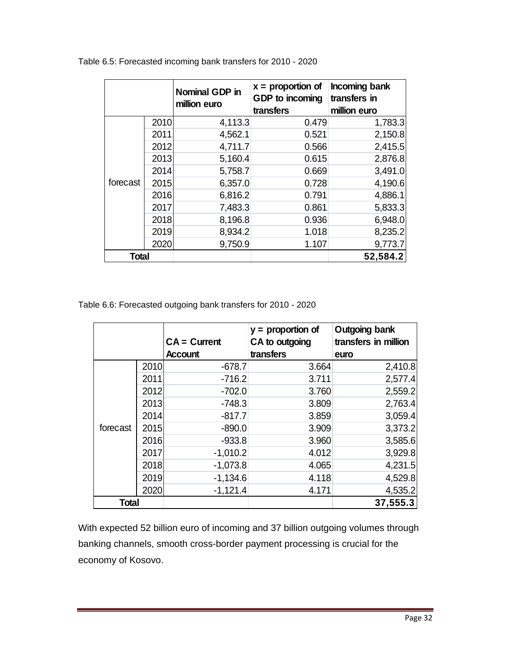|              |      | <b>Nominal GDP in</b><br>million euro | $x =$ proportion of<br>GDP to incoming<br>transfers | Incoming bank<br>transfers in<br>million euro |
|--------------|------|---------------------------------------|-----------------------------------------------------|-----------------------------------------------|
|              | 2010 | 4,113.3                               | 0.479                                               | 1,783.3                                       |
|              | 2011 | 4,562.1                               | 0.521                                               | 2,150.8                                       |
|              | 2012 | 4,711.7                               | 0.566                                               | 2,415.5                                       |
| forecast     | 2013 | 5,160.4                               | 0.615                                               | 2,876.8                                       |
|              | 2014 | 5,758.7                               | 0.669                                               | 3,491.0                                       |
|              | 2015 | 6,357.0                               | 0.728                                               | 4,190.6                                       |
|              | 2016 | 6,816.2                               | 0.791                                               | 4,886.1                                       |
|              | 2017 | 7,483.3                               | 0.861                                               | 5,833.3                                       |
|              | 2018 | 8,196.8                               | 0.936                                               | 6,948.0                                       |
|              | 2019 | 8,934.2                               | 1.018                                               | 8,235.2                                       |
|              | 2020 | 9,750.9                               | 1.107                                               | 9,773.7                                       |
| <b>Total</b> |      |                                       |                                                     | 52,584.2                                      |

Table 6.5: Forecasted incoming bank transfers for 2010 - 2020

Table 6.6: Forecasted outgoing bank transfers for 2010 - 2020

|              |      |                | $y =$ proportion of | Outgoing bank        |
|--------------|------|----------------|---------------------|----------------------|
|              |      | $CA = Current$ | CA to outgoing      | transfers in million |
|              |      | <b>Account</b> | transfers           | euro                 |
|              | 2010 | $-678.7$       | 3.664               | 2,410.8              |
|              | 2011 | $-716.2$       | 3.711               | 2,577.4              |
|              | 2012 | $-702.0$       | 3.760               | 2,559.2              |
|              | 2013 | $-748.3$       | 3.809               | 2,763.4              |
|              | 2014 | $-817.7$       | 3.859               | 3,059.4              |
| forecast     | 2015 | $-890.0$       | 3.909               | 3,373.2              |
|              | 2016 | $-933.8$       | 3.960               | 3,585.6              |
|              | 2017 | $-1,010.2$     | 4.012               | 3,929.8              |
|              | 2018 | $-1,073.8$     | 4.065               | 4,231.5              |
|              | 2019 | $-1,134.6$     | 4.118               | 4,529.8              |
|              | 2020 | $-1,121.4$     | 4.171               | 4,535.2              |
| <b>Total</b> |      |                |                     | 37,555.3             |

With expected 52 billion euro of incoming and 37 billion outgoing volumes through banking channels, smooth cross-border payment processing is crucial for the economy of Kosovo.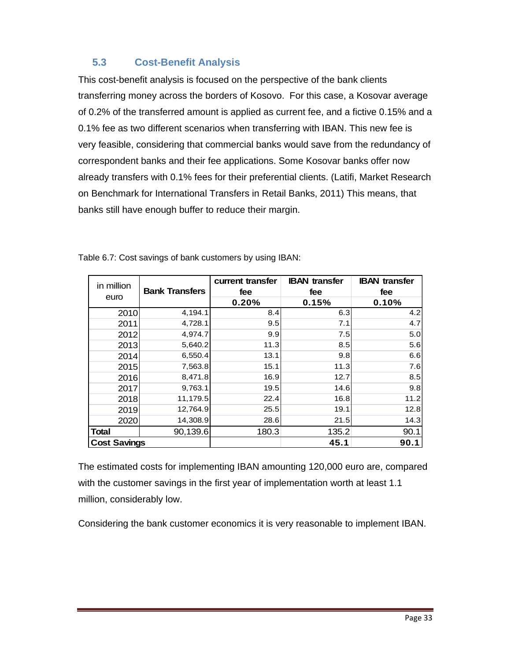#### **5.3 Cost-Benefit Analysis**

This cost-benefit analysis is focused on the perspective of the bank clients transferring money across the borders of Kosovo. For this case, a Kosovar average of 0.2% of the transferred amount is applied as current fee, and a fictive 0.15% and a 0.1% fee as two different scenarios when transferring with IBAN. This new fee is very feasible, considering that commercial banks would save from the redundancy of correspondent banks and their fee applications. Some Kosovar banks offer now already transfers with 0.1% fees for their preferential clients. (Latifi, Market Research on Benchmark for International Transfers in Retail Banks, 2011) This means, that banks still have enough buffer to reduce their margin.

| in million<br>euro  | <b>Bank Transfers</b> | current transfer<br>fee | <b>IBAN</b> transfer<br>fee | <b>IBAN</b> transfer<br>fee |
|---------------------|-----------------------|-------------------------|-----------------------------|-----------------------------|
|                     |                       | 0.20%                   | 0.15%                       | 0.10%                       |
| 2010                | 4,194.1               | 8.4                     | 6.3                         | 4.2                         |
| 2011                | 4,728.1               | 9.5                     | 7.1                         | 4.7                         |
| 2012                | 4,974.7               | 9.9                     | 7.5                         | 5.0                         |
| 2013                | 5,640.2               | 11.3                    | 8.5                         | 5.6                         |
| 2014                | 6,550.4               | 13.1                    | 9.8                         | 6.6                         |
| 2015                | 7,563.8               | 15.1                    | 11.3                        | 7.6                         |
| 2016                | 8,471.8               | 16.9                    | 12.7                        | 8.5                         |
| 2017                | 9,763.1               | 19.5                    | 14.6                        | 9.8                         |
| 2018                | 11,179.5              | 22.4                    | 16.8                        | 11.2                        |
| 2019                | 12,764.9              | 25.5                    | 19.1                        | 12.8                        |
| 2020                | 14,308.9              | 28.6                    | 21.5                        | 14.3                        |
| <b>Total</b>        | 90,139.6              | 180.3                   | 135.2                       | 90.1                        |
| <b>Cost Savings</b> |                       |                         | 45.1                        | 90.1                        |

Table 6.7: Cost savings of bank customers by using IBAN:

The estimated costs for implementing IBAN amounting 120,000 euro are, compared with the customer savings in the first year of implementation worth at least 1.1 million, considerably low.

Considering the bank customer economics it is very reasonable to implement IBAN.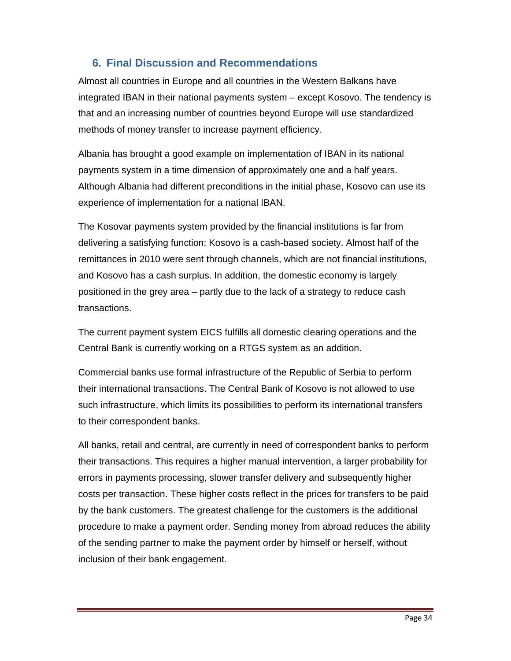#### **6. Final Discussion and Recommendations**

Almost all countries in Europe and all countries in the Western Balkans have integrated IBAN in their national payments system – except Kosovo. The tendency is that and an increasing number of countries beyond Europe will use standardized methods of money transfer to increase payment efficiency.

Albania has brought a good example on implementation of IBAN in its national payments system in a time dimension of approximately one and a half years. Although Albania had different preconditions in the initial phase, Kosovo can use its experience of implementation for a national IBAN.

The Kosovar payments system provided by the financial institutions is far from delivering a satisfying function: Kosovo is a cash-based society. Almost half of the remittances in 2010 were sent through channels, which are not financial institutions, and Kosovo has a cash surplus. In addition, the domestic economy is largely positioned in the grey area – partly due to the lack of a strategy to reduce cash transactions.

The current payment system EICS fulfills all domestic clearing operations and the Central Bank is currently working on a RTGS system as an addition.

Commercial banks use formal infrastructure of the Republic of Serbia to perform their international transactions. The Central Bank of Kosovo is not allowed to use such infrastructure, which limits its possibilities to perform its international transfers to their correspondent banks.

All banks, retail and central, are currently in need of correspondent banks to perform their transactions. This requires a higher manual intervention, a larger probability for errors in payments processing, slower transfer delivery and subsequently higher costs per transaction. These higher costs reflect in the prices for transfers to be paid by the bank customers. The greatest challenge for the customers is the additional procedure to make a payment order. Sending money from abroad reduces the ability of the sending partner to make the payment order by himself or herself, without inclusion of their bank engagement.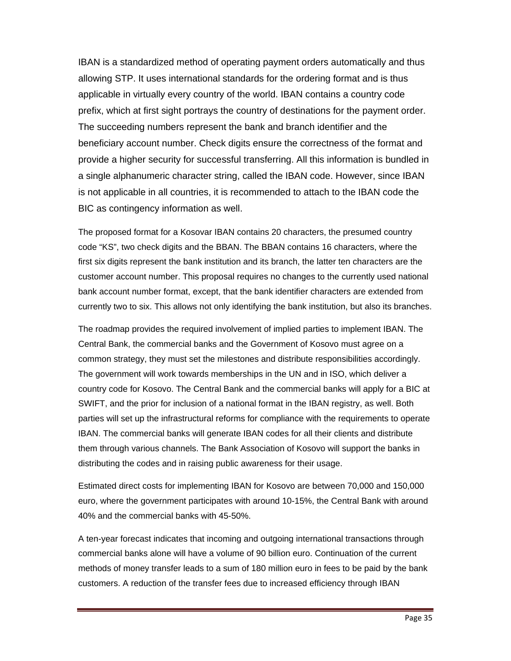IBAN is a standardized method of operating payment orders automatically and thus allowing STP. It uses international standards for the ordering format and is thus applicable in virtually every country of the world. IBAN contains a country code prefix, which at first sight portrays the country of destinations for the payment order. The succeeding numbers represent the bank and branch identifier and the beneficiary account number. Check digits ensure the correctness of the format and provide a higher security for successful transferring. All this information is bundled in a single alphanumeric character string, called the IBAN code. However, since IBAN is not applicable in all countries, it is recommended to attach to the IBAN code the BIC as contingency information as well.

The proposed format for a Kosovar IBAN contains 20 characters, the presumed country code "KS", two check digits and the BBAN. The BBAN contains 16 characters, where the first six digits represent the bank institution and its branch, the latter ten characters are the customer account number. This proposal requires no changes to the currently used national bank account number format, except, that the bank identifier characters are extended from currently two to six. This allows not only identifying the bank institution, but also its branches.

The roadmap provides the required involvement of implied parties to implement IBAN. The Central Bank, the commercial banks and the Government of Kosovo must agree on a common strategy, they must set the milestones and distribute responsibilities accordingly. The government will work towards memberships in the UN and in ISO, which deliver a country code for Kosovo. The Central Bank and the commercial banks will apply for a BIC at SWIFT, and the prior for inclusion of a national format in the IBAN registry, as well. Both parties will set up the infrastructural reforms for compliance with the requirements to operate IBAN. The commercial banks will generate IBAN codes for all their clients and distribute them through various channels. The Bank Association of Kosovo will support the banks in distributing the codes and in raising public awareness for their usage.

Estimated direct costs for implementing IBAN for Kosovo are between 70,000 and 150,000 euro, where the government participates with around 10-15%, the Central Bank with around 40% and the commercial banks with 45-50%.

A ten-year forecast indicates that incoming and outgoing international transactions through commercial banks alone will have a volume of 90 billion euro. Continuation of the current methods of money transfer leads to a sum of 180 million euro in fees to be paid by the bank customers. A reduction of the transfer fees due to increased efficiency through IBAN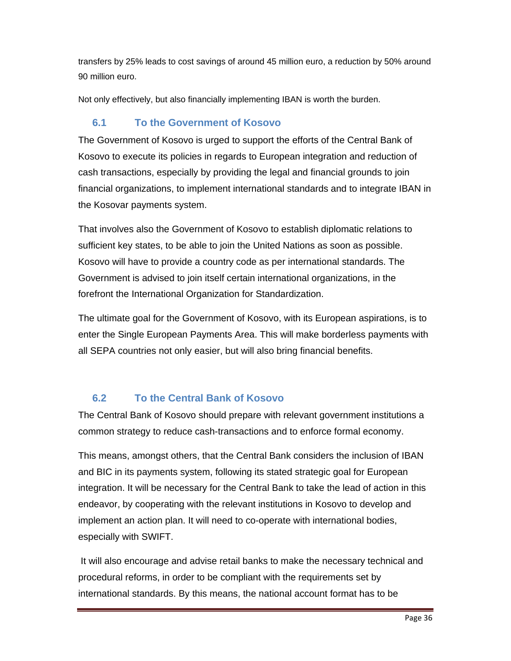transfers by 25% leads to cost savings of around 45 million euro, a reduction by 50% around 90 million euro.

Not only effectively, but also financially implementing IBAN is worth the burden.

#### **6.1 To the Government of Kosovo**

The Government of Kosovo is urged to support the efforts of the Central Bank of Kosovo to execute its policies in regards to European integration and reduction of cash transactions, especially by providing the legal and financial grounds to join financial organizations, to implement international standards and to integrate IBAN in the Kosovar payments system.

That involves also the Government of Kosovo to establish diplomatic relations to sufficient key states, to be able to join the United Nations as soon as possible. Kosovo will have to provide a country code as per international standards. The Government is advised to join itself certain international organizations, in the forefront the International Organization for Standardization.

The ultimate goal for the Government of Kosovo, with its European aspirations, is to enter the Single European Payments Area. This will make borderless payments with all SEPA countries not only easier, but will also bring financial benefits.

#### **6.2 To the Central Bank of Kosovo**

The Central Bank of Kosovo should prepare with relevant government institutions a common strategy to reduce cash-transactions and to enforce formal economy.

This means, amongst others, that the Central Bank considers the inclusion of IBAN and BIC in its payments system, following its stated strategic goal for European integration. It will be necessary for the Central Bank to take the lead of action in this endeavor, by cooperating with the relevant institutions in Kosovo to develop and implement an action plan. It will need to co-operate with international bodies, especially with SWIFT.

 It will also encourage and advise retail banks to make the necessary technical and procedural reforms, in order to be compliant with the requirements set by international standards. By this means, the national account format has to be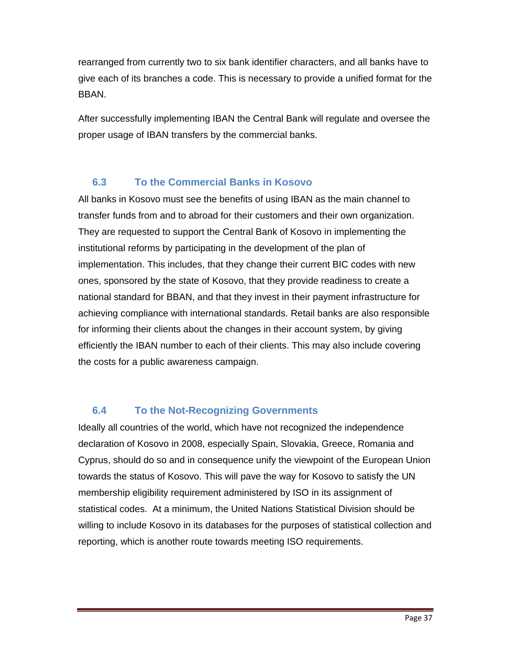rearranged from currently two to six bank identifier characters, and all banks have to give each of its branches a code. This is necessary to provide a unified format for the BBAN.

After successfully implementing IBAN the Central Bank will regulate and oversee the proper usage of IBAN transfers by the commercial banks.

#### **6.3 To the Commercial Banks in Kosovo**

All banks in Kosovo must see the benefits of using IBAN as the main channel to transfer funds from and to abroad for their customers and their own organization. They are requested to support the Central Bank of Kosovo in implementing the institutional reforms by participating in the development of the plan of implementation. This includes, that they change their current BIC codes with new ones, sponsored by the state of Kosovo, that they provide readiness to create a national standard for BBAN, and that they invest in their payment infrastructure for achieving compliance with international standards. Retail banks are also responsible for informing their clients about the changes in their account system, by giving efficiently the IBAN number to each of their clients. This may also include covering the costs for a public awareness campaign.

#### **6.4 To the Not-Recognizing Governments**

Ideally all countries of the world, which have not recognized the independence declaration of Kosovo in 2008, especially Spain, Slovakia, Greece, Romania and Cyprus, should do so and in consequence unify the viewpoint of the European Union towards the status of Kosovo. This will pave the way for Kosovo to satisfy the UN membership eligibility requirement administered by ISO in its assignment of statistical codes. At a minimum, the United Nations Statistical Division should be willing to include Kosovo in its databases for the purposes of statistical collection and reporting, which is another route towards meeting ISO requirements.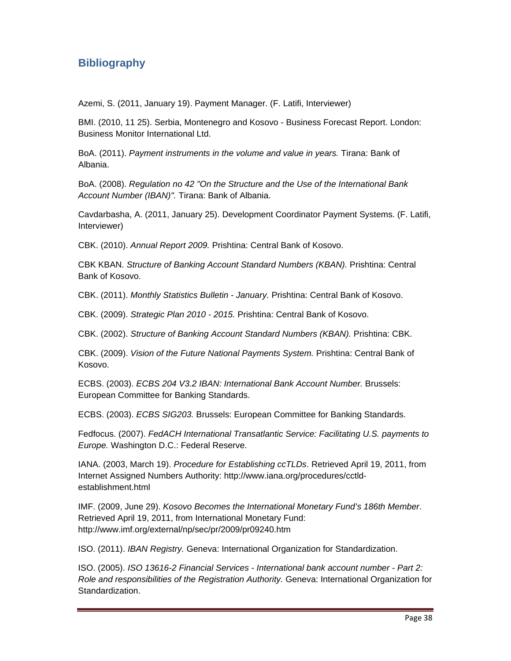#### **Bibliography**

Azemi, S. (2011, January 19). Payment Manager. (F. Latifi, Interviewer)

BMI. (2010, 11 25). Serbia, Montenegro and Kosovo - Business Forecast Report. London: Business Monitor International Ltd.

BoA. (2011). *Payment instruments in the volume and value in years.* Tirana: Bank of Albania.

BoA. (2008). *Regulation no 42 "On the Structure and the Use of the International Bank Account Number (IBAN)".* Tirana: Bank of Albania.

Cavdarbasha, A. (2011, January 25). Development Coordinator Payment Systems. (F. Latifi, Interviewer)

CBK. (2010). *Annual Report 2009.* Prishtina: Central Bank of Kosovo.

CBK KBAN. *Structure of Banking Account Standard Numbers (KBAN).* Prishtina: Central Bank of Kosovo.

CBK. (2011). *Monthly Statistics Bulletin - January.* Prishtina: Central Bank of Kosovo.

CBK. (2009). *Strategic Plan 2010 - 2015.* Prishtina: Central Bank of Kosovo.

CBK. (2002). *Structure of Banking Account Standard Numbers (KBAN).* Prishtina: CBK.

CBK. (2009). *Vision of the Future National Payments System.* Prishtina: Central Bank of Kosovo.

ECBS. (2003). *ECBS 204 V3.2 IBAN: International Bank Account Number.* Brussels: European Committee for Banking Standards.

ECBS. (2003). *ECBS SIG203.* Brussels: European Committee for Banking Standards.

Fedfocus. (2007). *FedACH International Transatlantic Service: Facilitating U.S. payments to Europe.* Washington D.C.: Federal Reserve.

IANA. (2003, March 19). *Procedure for Establishing ccTLDs*. Retrieved April 19, 2011, from Internet Assigned Numbers Authority: http://www.iana.org/procedures/cctldestablishment.html

IMF. (2009, June 29). *Kosovo Becomes the International Monetary Fund's 186th Member*. Retrieved April 19, 2011, from International Monetary Fund: http://www.imf.org/external/np/sec/pr/2009/pr09240.htm

ISO. (2011). *IBAN Registry.* Geneva: International Organization for Standardization.

ISO. (2005). *ISO 13616-2 Financial Services - International bank account number - Part 2: Role and responsibilities of the Registration Authority.* Geneva: International Organization for Standardization.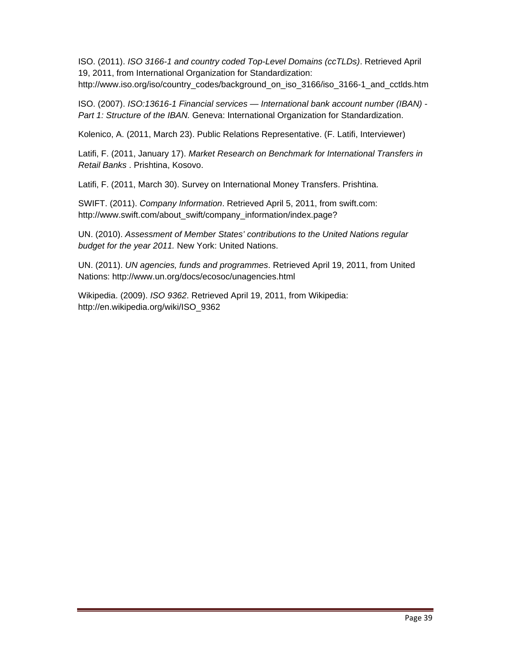ISO. (2011). *ISO 3166-1 and country coded Top-Level Domains (ccTLDs)*. Retrieved April 19, 2011, from International Organization for Standardization:

http://www.iso.org/iso/country\_codes/background\_on\_iso\_3166/iso\_3166-1\_and\_cctlds.htm

ISO. (2007). *ISO:13616-1 Financial services — International bank account number (IBAN) - Part 1: Structure of the IBAN.* Geneva: International Organization for Standardization.

Kolenico, A. (2011, March 23). Public Relations Representative. (F. Latifi, Interviewer)

Latifi, F. (2011, January 17). *Market Research on Benchmark for International Transfers in Retail Banks* . Prishtina, Kosovo.

Latifi, F. (2011, March 30). Survey on International Money Transfers. Prishtina.

SWIFT. (2011). *Company Information*. Retrieved April 5, 2011, from swift.com: http://www.swift.com/about\_swift/company\_information/index.page?

UN. (2010). *Assessment of Member States' contributions to the United Nations regular budget for the year 2011.* New York: United Nations.

UN. (2011). *UN agencies, funds and programmes*. Retrieved April 19, 2011, from United Nations: http://www.un.org/docs/ecosoc/unagencies.html

Wikipedia. (2009). *ISO 9362*. Retrieved April 19, 2011, from Wikipedia: http://en.wikipedia.org/wiki/ISO\_9362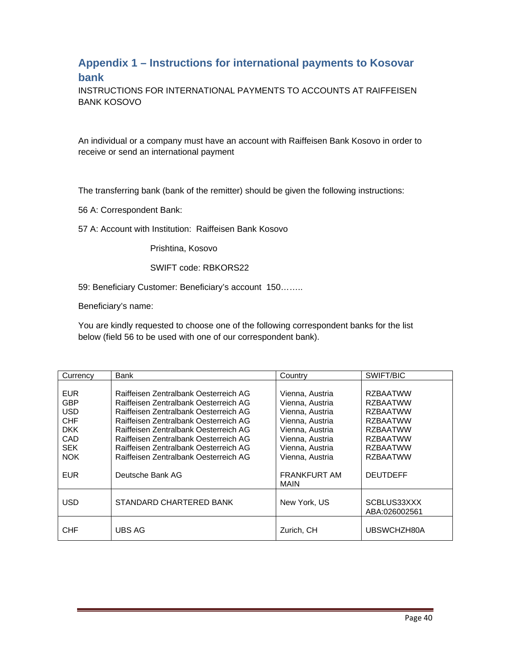#### **Appendix 1 – Instructions for international payments to Kosovar bank**

INSTRUCTIONS FOR INTERNATIONAL PAYMENTS TO ACCOUNTS AT RAIFFEISEN BANK KOSOVO

An individual or a company must have an account with Raiffeisen Bank Kosovo in order to receive or send an international payment

The transferring bank (bank of the remitter) should be given the following instructions:

56 A: Correspondent Bank:

57 A: Account with Institution: Raiffeisen Bank Kosovo

Prishtina, Kosovo

SWIFT code: RBKORS22

59: Beneficiary Customer: Beneficiary's account 150……..

Beneficiary's name:

You are kindly requested to choose one of the following correspondent banks for the list below (field 56 to be used with one of our correspondent bank).

| Currency                                                    | Bank                                                                                                                                                                                                      | Country                                                                                     | SWIFT/BIC                                                                                   |
|-------------------------------------------------------------|-----------------------------------------------------------------------------------------------------------------------------------------------------------------------------------------------------------|---------------------------------------------------------------------------------------------|---------------------------------------------------------------------------------------------|
| EUR<br><b>GBP</b>                                           | Raiffeisen Zentralbank Oesterreich AG<br>Raiffeisen Zentralbank Oesterreich AG                                                                                                                            | Vienna, Austria<br>Vienna, Austria                                                          | <b>RZBAATWW</b><br><b>RZBAATWW</b>                                                          |
| <b>USD</b><br><b>CHF</b><br><b>DKK</b><br>CAD<br><b>SEK</b> | Raiffeisen Zentralbank Oesterreich AG<br>Raiffeisen Zentralbank Oesterreich AG<br>Raiffeisen Zentralbank Oesterreich AG<br>Raiffeisen Zentralbank Oesterreich AG<br>Raiffeisen Zentralbank Oesterreich AG | Vienna, Austria<br>Vienna, Austria<br>Vienna, Austria<br>Vienna, Austria<br>Vienna, Austria | <b>RZBAATWW</b><br><b>RZBAATWW</b><br><b>RZBAATWW</b><br><b>RZBAATWW</b><br><b>RZBAATWW</b> |
| <b>NOK</b><br>EUR                                           | Raiffeisen Zentralbank Oesterreich AG<br>Deutsche Bank AG                                                                                                                                                 | Vienna, Austria<br><b>FRANKFURT AM</b><br><b>MAIN</b>                                       | <b>RZBAATWW</b><br><b>DEUTDEFF</b>                                                          |
| <b>USD</b>                                                  | STANDARD CHARTERED BANK                                                                                                                                                                                   | New York, US                                                                                | SCBLUS33XXX<br>ABA:026002561                                                                |
| <b>CHF</b>                                                  | <b>UBS AG</b>                                                                                                                                                                                             | Zurich, CH                                                                                  | UBSWCHZH80A                                                                                 |